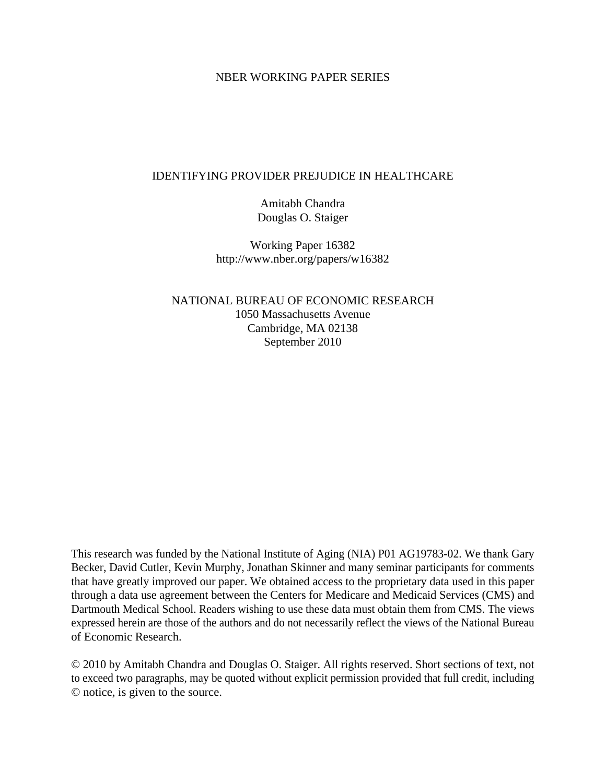### NBER WORKING PAPER SERIES

#### IDENTIFYING PROVIDER PREJUDICE IN HEALTHCARE

Amitabh Chandra Douglas O. Staiger

Working Paper 16382 http://www.nber.org/papers/w16382

NATIONAL BUREAU OF ECONOMIC RESEARCH 1050 Massachusetts Avenue Cambridge, MA 02138 September 2010

This research was funded by the National Institute of Aging (NIA) P01 AG19783-02. We thank Gary Becker, David Cutler, Kevin Murphy, Jonathan Skinner and many seminar participants for comments that have greatly improved our paper. We obtained access to the proprietary data used in this paper through a data use agreement between the Centers for Medicare and Medicaid Services (CMS) and Dartmouth Medical School. Readers wishing to use these data must obtain them from CMS. The views expressed herein are those of the authors and do not necessarily reflect the views of the National Bureau of Economic Research.

© 2010 by Amitabh Chandra and Douglas O. Staiger. All rights reserved. Short sections of text, not to exceed two paragraphs, may be quoted without explicit permission provided that full credit, including © notice, is given to the source.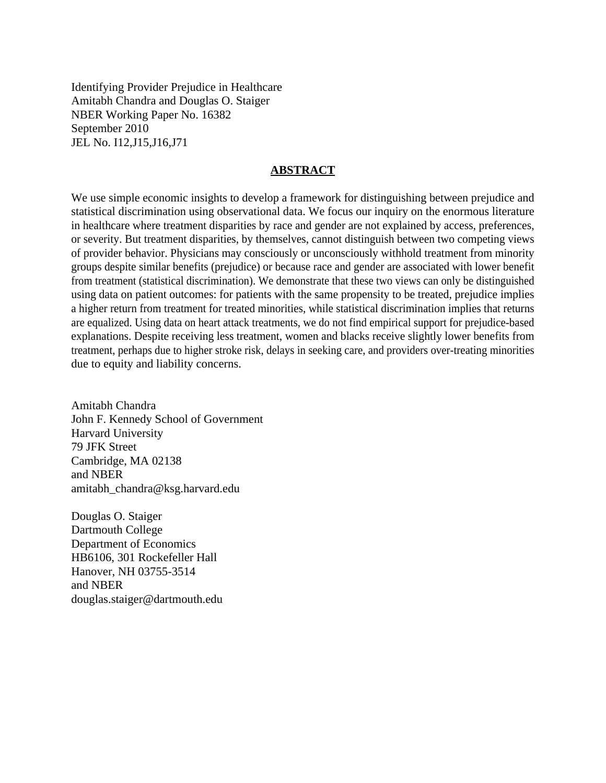Identifying Provider Prejudice in Healthcare Amitabh Chandra and Douglas O. Staiger NBER Working Paper No. 16382 September 2010 JEL No. I12,J15,J16,J71

#### **ABSTRACT**

We use simple economic insights to develop a framework for distinguishing between prejudice and statistical discrimination using observational data. We focus our inquiry on the enormous literature in healthcare where treatment disparities by race and gender are not explained by access, preferences, or severity. But treatment disparities, by themselves, cannot distinguish between two competing views of provider behavior. Physicians may consciously or unconsciously withhold treatment from minority groups despite similar benefits (prejudice) or because race and gender are associated with lower benefit from treatment (statistical discrimination). We demonstrate that these two views can only be distinguished using data on patient outcomes: for patients with the same propensity to be treated, prejudice implies a higher return from treatment for treated minorities, while statistical discrimination implies that returns are equalized. Using data on heart attack treatments, we do not find empirical support for prejudice-based explanations. Despite receiving less treatment, women and blacks receive slightly lower benefits from treatment, perhaps due to higher stroke risk, delays in seeking care, and providers over-treating minorities due to equity and liability concerns.

Amitabh Chandra John F. Kennedy School of Government Harvard University 79 JFK Street Cambridge, MA 02138 and NBER amitabh\_chandra@ksg.harvard.edu

Douglas O. Staiger Dartmouth College Department of Economics HB6106, 301 Rockefeller Hall Hanover, NH 03755-3514 and NBER douglas.staiger@dartmouth.edu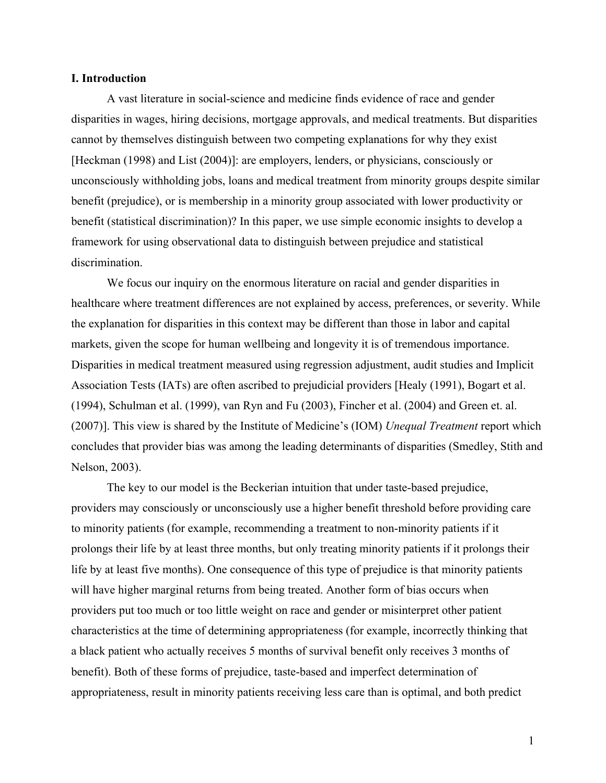#### **I. Introduction**

A vast literature in social-science and medicine finds evidence of race and gender disparities in wages, hiring decisions, mortgage approvals, and medical treatments. But disparities cannot by themselves distinguish between two competing explanations for why they exist [Heckman (1998) and List (2004)]: are employers, lenders, or physicians, consciously or unconsciously withholding jobs, loans and medical treatment from minority groups despite similar benefit (prejudice), or is membership in a minority group associated with lower productivity or benefit (statistical discrimination)? In this paper, we use simple economic insights to develop a framework for using observational data to distinguish between prejudice and statistical discrimination.

We focus our inquiry on the enormous literature on racial and gender disparities in healthcare where treatment differences are not explained by access, preferences, or severity. While the explanation for disparities in this context may be different than those in labor and capital markets, given the scope for human wellbeing and longevity it is of tremendous importance. Disparities in medical treatment measured using regression adjustment, audit studies and Implicit Association Tests (IATs) are often ascribed to prejudicial providers [Healy (1991), Bogart et al. (1994), Schulman et al. (1999), van Ryn and Fu (2003), Fincher et al. (2004) and Green et. al. (2007)]. This view is shared by the Institute of Medicine's (IOM) *Unequal Treatment* report which concludes that provider bias was among the leading determinants of disparities (Smedley, Stith and Nelson, 2003).

The key to our model is the Beckerian intuition that under taste-based prejudice, providers may consciously or unconsciously use a higher benefit threshold before providing care to minority patients (for example, recommending a treatment to non-minority patients if it prolongs their life by at least three months, but only treating minority patients if it prolongs their life by at least five months). One consequence of this type of prejudice is that minority patients will have higher marginal returns from being treated. Another form of bias occurs when providers put too much or too little weight on race and gender or misinterpret other patient characteristics at the time of determining appropriateness (for example, incorrectly thinking that a black patient who actually receives 5 months of survival benefit only receives 3 months of benefit). Both of these forms of prejudice, taste-based and imperfect determination of appropriateness, result in minority patients receiving less care than is optimal, and both predict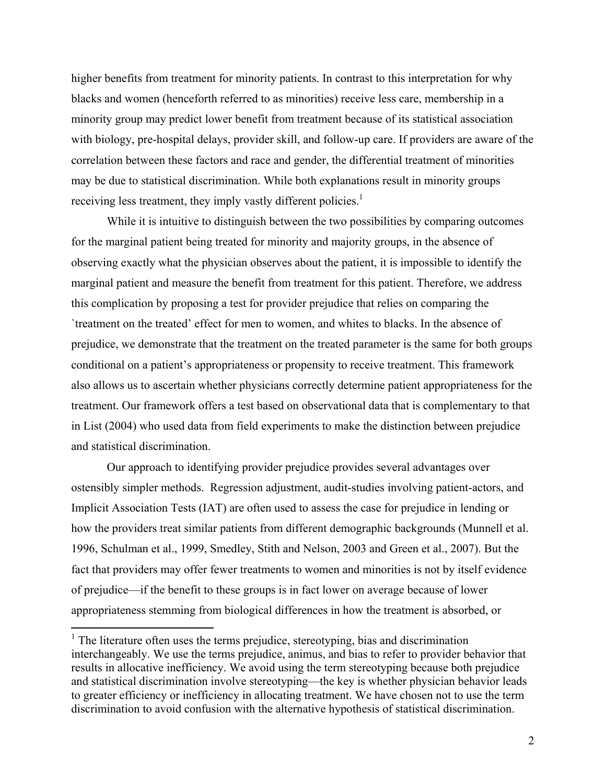higher benefits from treatment for minority patients. In contrast to this interpretation for why blacks and women (henceforth referred to as minorities) receive less care, membership in a minority group may predict lower benefit from treatment because of its statistical association with biology, pre-hospital delays, provider skill, and follow-up care. If providers are aware of the correlation between these factors and race and gender, the differential treatment of minorities may be due to statistical discrimination. While both explanations result in minority groups receiving less treatment, they imply vastly different policies.<sup>1</sup>

While it is intuitive to distinguish between the two possibilities by comparing outcomes for the marginal patient being treated for minority and majority groups, in the absence of observing exactly what the physician observes about the patient, it is impossible to identify the marginal patient and measure the benefit from treatment for this patient. Therefore, we address this complication by proposing a test for provider prejudice that relies on comparing the `treatment on the treated' effect for men to women, and whites to blacks. In the absence of prejudice, we demonstrate that the treatment on the treated parameter is the same for both groups conditional on a patient's appropriateness or propensity to receive treatment. This framework also allows us to ascertain whether physicians correctly determine patient appropriateness for the treatment. Our framework offers a test based on observational data that is complementary to that in List (2004) who used data from field experiments to make the distinction between prejudice and statistical discrimination.

Our approach to identifying provider prejudice provides several advantages over ostensibly simpler methods. Regression adjustment, audit-studies involving patient-actors, and Implicit Association Tests (IAT) are often used to assess the case for prejudice in lending or how the providers treat similar patients from different demographic backgrounds (Munnell et al. 1996, Schulman et al., 1999, Smedley, Stith and Nelson, 2003 and Green et al., 2007). But the fact that providers may offer fewer treatments to women and minorities is not by itself evidence of prejudice—if the benefit to these groups is in fact lower on average because of lower appropriateness stemming from biological differences in how the treatment is absorbed, or

1

<sup>&</sup>lt;sup>1</sup> The literature often uses the terms prejudice, stereotyping, bias and discrimination interchangeably. We use the terms prejudice, animus, and bias to refer to provider behavior that results in allocative inefficiency. We avoid using the term stereotyping because both prejudice and statistical discrimination involve stereotyping—the key is whether physician behavior leads to greater efficiency or inefficiency in allocating treatment. We have chosen not to use the term discrimination to avoid confusion with the alternative hypothesis of statistical discrimination.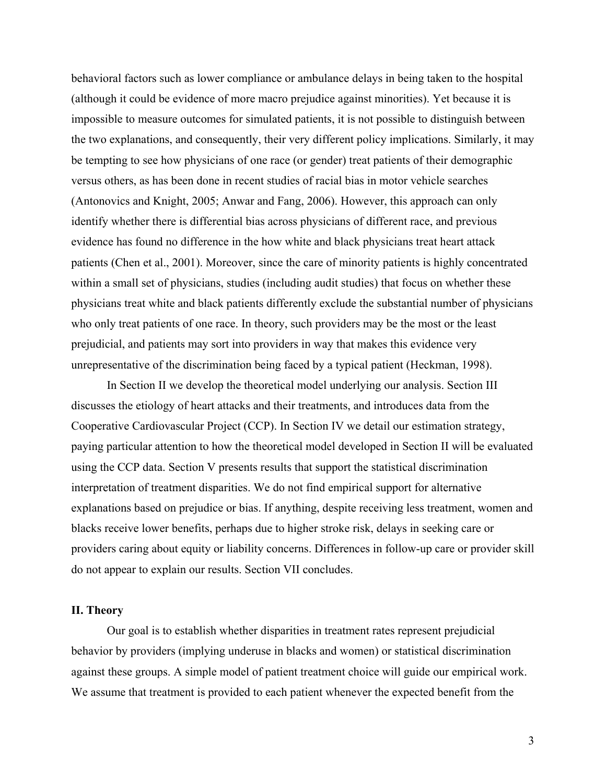behavioral factors such as lower compliance or ambulance delays in being taken to the hospital (although it could be evidence of more macro prejudice against minorities). Yet because it is impossible to measure outcomes for simulated patients, it is not possible to distinguish between the two explanations, and consequently, their very different policy implications. Similarly, it may be tempting to see how physicians of one race (or gender) treat patients of their demographic versus others, as has been done in recent studies of racial bias in motor vehicle searches (Antonovics and Knight, 2005; Anwar and Fang, 2006). However, this approach can only identify whether there is differential bias across physicians of different race, and previous evidence has found no difference in the how white and black physicians treat heart attack patients (Chen et al., 2001). Moreover, since the care of minority patients is highly concentrated within a small set of physicians, studies (including audit studies) that focus on whether these physicians treat white and black patients differently exclude the substantial number of physicians who only treat patients of one race. In theory, such providers may be the most or the least prejudicial, and patients may sort into providers in way that makes this evidence very unrepresentative of the discrimination being faced by a typical patient (Heckman, 1998).

In Section II we develop the theoretical model underlying our analysis. Section III discusses the etiology of heart attacks and their treatments, and introduces data from the Cooperative Cardiovascular Project (CCP). In Section IV we detail our estimation strategy, paying particular attention to how the theoretical model developed in Section II will be evaluated using the CCP data. Section V presents results that support the statistical discrimination interpretation of treatment disparities. We do not find empirical support for alternative explanations based on prejudice or bias. If anything, despite receiving less treatment, women and blacks receive lower benefits, perhaps due to higher stroke risk, delays in seeking care or providers caring about equity or liability concerns. Differences in follow-up care or provider skill do not appear to explain our results. Section VII concludes.

## **II. Theory**

 Our goal is to establish whether disparities in treatment rates represent prejudicial behavior by providers (implying underuse in blacks and women) or statistical discrimination against these groups. A simple model of patient treatment choice will guide our empirical work. We assume that treatment is provided to each patient whenever the expected benefit from the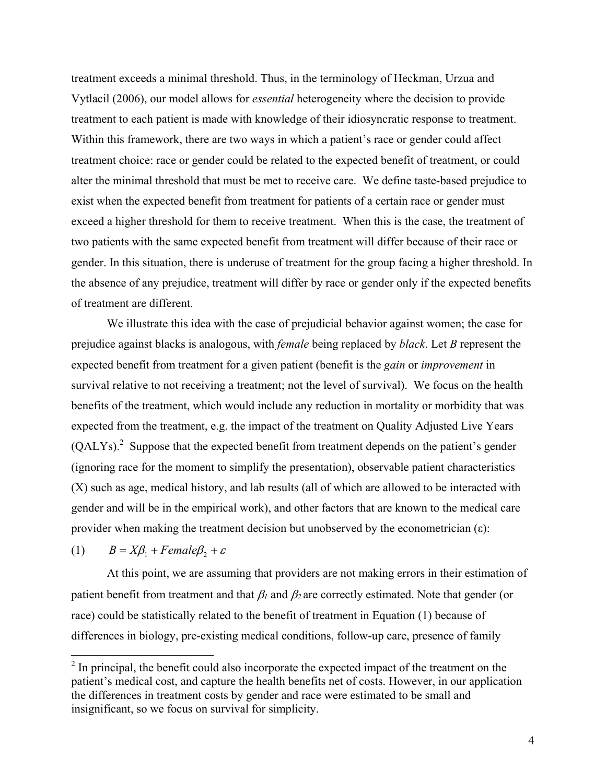treatment exceeds a minimal threshold. Thus, in the terminology of Heckman, Urzua and Vytlacil (2006), our model allows for *essential* heterogeneity where the decision to provide treatment to each patient is made with knowledge of their idiosyncratic response to treatment. Within this framework, there are two ways in which a patient's race or gender could affect treatment choice: race or gender could be related to the expected benefit of treatment, or could alter the minimal threshold that must be met to receive care. We define taste-based prejudice to exist when the expected benefit from treatment for patients of a certain race or gender must exceed a higher threshold for them to receive treatment. When this is the case, the treatment of two patients with the same expected benefit from treatment will differ because of their race or gender. In this situation, there is underuse of treatment for the group facing a higher threshold. In the absence of any prejudice, treatment will differ by race or gender only if the expected benefits of treatment are different.

We illustrate this idea with the case of prejudicial behavior against women; the case for prejudice against blacks is analogous, with *female* being replaced by *black*. Let *B* represent the expected benefit from treatment for a given patient (benefit is the *gain* or *improvement* in survival relative to not receiving a treatment; not the level of survival). We focus on the health benefits of the treatment, which would include any reduction in mortality or morbidity that was expected from the treatment, e.g. the impact of the treatment on Quality Adjusted Live Years  $(QALYs)<sup>2</sup>$  Suppose that the expected benefit from treatment depends on the patient's gender (ignoring race for the moment to simplify the presentation), observable patient characteristics (X) such as age, medical history, and lab results (all of which are allowed to be interacted with gender and will be in the empirical work), and other factors that are known to the medical care provider when making the treatment decision but unobserved by the econometrician (ε):

(1)  $B = X\beta_1 + Female\beta_2 + \varepsilon$ 

1

At this point, we are assuming that providers are not making errors in their estimation of patient benefit from treatment and that  $\beta_1$  and  $\beta_2$  are correctly estimated. Note that gender (or race) could be statistically related to the benefit of treatment in Equation (1) because of differences in biology, pre-existing medical conditions, follow-up care, presence of family

 $2<sup>2</sup>$  In principal, the benefit could also incorporate the expected impact of the treatment on the patient's medical cost, and capture the health benefits net of costs. However, in our application the differences in treatment costs by gender and race were estimated to be small and insignificant, so we focus on survival for simplicity.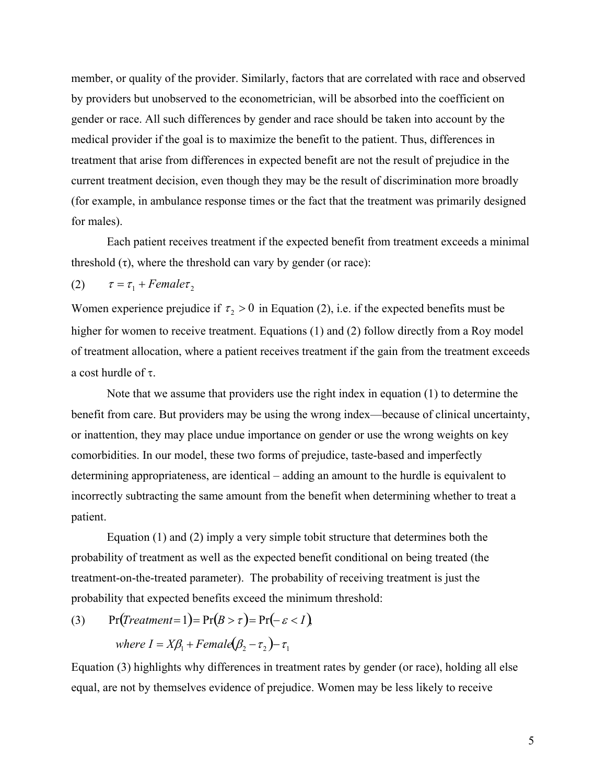member, or quality of the provider. Similarly, factors that are correlated with race and observed by providers but unobserved to the econometrician, will be absorbed into the coefficient on gender or race. All such differences by gender and race should be taken into account by the medical provider if the goal is to maximize the benefit to the patient. Thus, differences in treatment that arise from differences in expected benefit are not the result of prejudice in the current treatment decision, even though they may be the result of discrimination more broadly (for example, in ambulance response times or the fact that the treatment was primarily designed for males).

Each patient receives treatment if the expected benefit from treatment exceeds a minimal threshold  $(\tau)$ , where the threshold can vary by gender (or race):

(2) 
$$
\tau = \tau_1 + Female\tau_2
$$

Women experience prejudice if  $\tau$ ,  $> 0$  in Equation (2), i.e. if the expected benefits must be higher for women to receive treatment. Equations (1) and (2) follow directly from a Roy model of treatment allocation, where a patient receives treatment if the gain from the treatment exceeds a cost hurdle of  $\tau$ .

Note that we assume that providers use the right index in equation (1) to determine the benefit from care. But providers may be using the wrong index—because of clinical uncertainty, or inattention, they may place undue importance on gender or use the wrong weights on key comorbidities. In our model, these two forms of prejudice, taste-based and imperfectly determining appropriateness, are identical – adding an amount to the hurdle is equivalent to incorrectly subtracting the same amount from the benefit when determining whether to treat a patient.

Equation  $(1)$  and  $(2)$  imply a very simple tobit structure that determines both the probability of treatment as well as the expected benefit conditional on being treated (the treatment-on-the-treated parameter). The probability of receiving treatment is just the probability that expected benefits exceed the minimum threshold:

(3) 
$$
\Pr(\text{Treatment} = 1) = \Pr(B > \tau) = \Pr(-\varepsilon < I),
$$
\n
$$
\text{where } I = X\beta_1 + \text{Female}(\beta_2 - \tau_2) - \tau_1
$$

Equation (3) highlights why differences in treatment rates by gender (or race), holding all else equal, are not by themselves evidence of prejudice. Women may be less likely to receive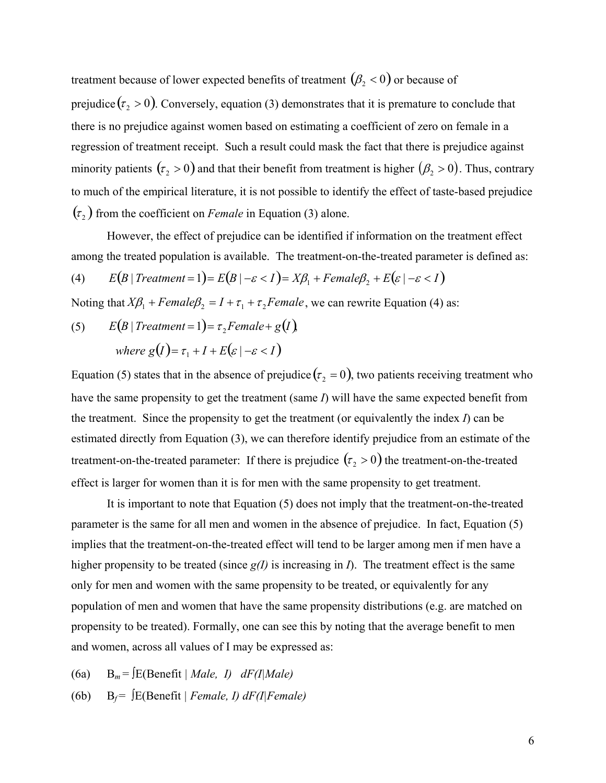treatment because of lower expected benefits of treatment  $(\beta_2 < 0)$  or because of prejudice  $(\tau_2 > 0)$ . Conversely, equation (3) demonstrates that it is premature to conclude that there is no prejudice against women based on estimating a coefficient of zero on female in a regression of treatment receipt. Such a result could mask the fact that there is prejudice against minority patients  $(\tau_2 > 0)$  and that their benefit from treatment is higher  $(\beta_2 > 0)$ . Thus, contrary to much of the empirical literature, it is not possible to identify the effect of taste-based prejudice  $(\tau_2)$  from the coefficient on *Female* in Equation (3) alone.

 However, the effect of prejudice can be identified if information on the treatment effect among the treated population is available. The treatment-on-the-treated parameter is defined as:

(4) 
$$
E(B | Treatment = 1) = E(B | -\varepsilon < 1) = X\beta_1 + Female\beta_2 + E(\varepsilon | -\varepsilon < 1)
$$

Noting that  $X\beta_1 + Female\beta_2 = I + \tau_1 + \tau_2$ *Female*, we can rewrite Equation (4) as:

(5)  $E(B | Treatment = 1) = \tau, Female + g(I)$ *where*  $g(I) = \tau_1 + I + E(\varepsilon \mid -\varepsilon < I)$ 

Equation (5) states that in the absence of prejudice  $(\tau_2 = 0)$ , two patients receiving treatment who have the same propensity to get the treatment (same *I*) will have the same expected benefit from the treatment. Since the propensity to get the treatment (or equivalently the index *I*) can be estimated directly from Equation (3), we can therefore identify prejudice from an estimate of the treatment-on-the-treated parameter: If there is prejudice  $(\tau_2 > 0)$  the treatment-on-the-treated effect is larger for women than it is for men with the same propensity to get treatment.

 It is important to note that Equation (5) does not imply that the treatment-on-the-treated parameter is the same for all men and women in the absence of prejudice. In fact, Equation (5) implies that the treatment-on-the-treated effect will tend to be larger among men if men have a higher propensity to be treated (since  $g(I)$  is increasing in *I*). The treatment effect is the same only for men and women with the same propensity to be treated, or equivalently for any population of men and women that have the same propensity distributions (e.g. are matched on propensity to be treated). Formally, one can see this by noting that the average benefit to men and women, across all values of I may be expressed as:

- (6a)  $B_m = \int E(Benefit | Male, I) dF(I|Male)$
- (6b)  $B_f = \int E(Benefit \mid Female, I) dF(I|Female)$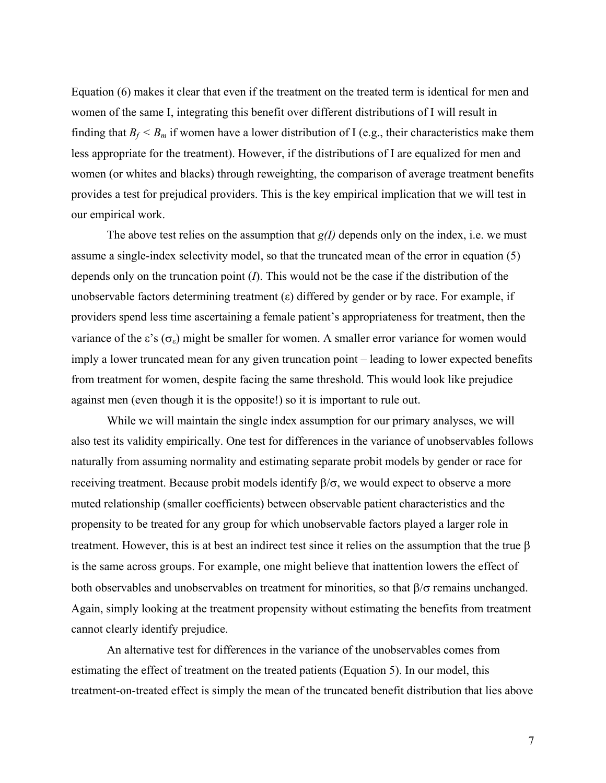Equation (6) makes it clear that even if the treatment on the treated term is identical for men and women of the same I, integrating this benefit over different distributions of I will result in finding that  $B_f \leq B_m$  if women have a lower distribution of I (e.g., their characteristics make them less appropriate for the treatment). However, if the distributions of I are equalized for men and women (or whites and blacks) through reweighting, the comparison of average treatment benefits provides a test for prejudical providers. This is the key empirical implication that we will test in our empirical work.

The above test relies on the assumption that *g(I)* depends only on the index, i.e. we must assume a single-index selectivity model, so that the truncated mean of the error in equation (5) depends only on the truncation point (*I*). This would not be the case if the distribution of the unobservable factors determining treatment  $(\varepsilon)$  differed by gender or by race. For example, if providers spend less time ascertaining a female patient's appropriateness for treatment, then the variance of the  $\varepsilon$ 's ( $\sigma_{\varepsilon}$ ) might be smaller for women. A smaller error variance for women would imply a lower truncated mean for any given truncation point – leading to lower expected benefits from treatment for women, despite facing the same threshold. This would look like prejudice against men (even though it is the opposite!) so it is important to rule out.

While we will maintain the single index assumption for our primary analyses, we will also test its validity empirically. One test for differences in the variance of unobservables follows naturally from assuming normality and estimating separate probit models by gender or race for receiving treatment. Because probit models identify  $\beta/\sigma$ , we would expect to observe a more muted relationship (smaller coefficients) between observable patient characteristics and the propensity to be treated for any group for which unobservable factors played a larger role in treatment. However, this is at best an indirect test since it relies on the assumption that the true  $\beta$ is the same across groups. For example, one might believe that inattention lowers the effect of both observables and unobservables on treatment for minorities, so that  $\beta/\sigma$  remains unchanged. Again, simply looking at the treatment propensity without estimating the benefits from treatment cannot clearly identify prejudice.

An alternative test for differences in the variance of the unobservables comes from estimating the effect of treatment on the treated patients (Equation 5). In our model, this treatment-on-treated effect is simply the mean of the truncated benefit distribution that lies above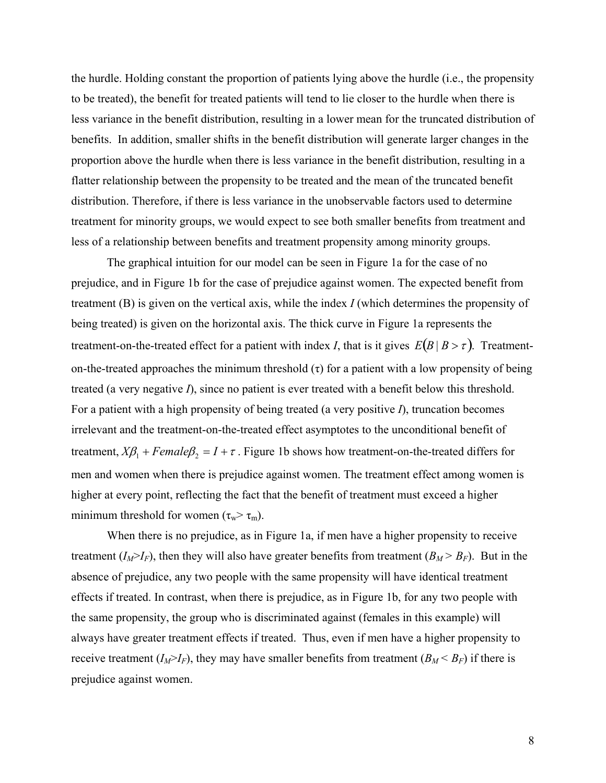the hurdle. Holding constant the proportion of patients lying above the hurdle (i.e., the propensity to be treated), the benefit for treated patients will tend to lie closer to the hurdle when there is less variance in the benefit distribution, resulting in a lower mean for the truncated distribution of benefits. In addition, smaller shifts in the benefit distribution will generate larger changes in the proportion above the hurdle when there is less variance in the benefit distribution, resulting in a flatter relationship between the propensity to be treated and the mean of the truncated benefit distribution. Therefore, if there is less variance in the unobservable factors used to determine treatment for minority groups, we would expect to see both smaller benefits from treatment and less of a relationship between benefits and treatment propensity among minority groups.

The graphical intuition for our model can be seen in Figure 1a for the case of no prejudice, and in Figure 1b for the case of prejudice against women. The expected benefit from treatment (B) is given on the vertical axis, while the index *I* (which determines the propensity of being treated) is given on the horizontal axis. The thick curve in Figure 1a represents the treatment-on-the-treated effect for a patient with index *I*, that is it gives  $E(B | B > \tau)$ . Treatmenton-the-treated approaches the minimum threshold  $(\tau)$  for a patient with a low propensity of being treated (a very negative *I*), since no patient is ever treated with a benefit below this threshold. For a patient with a high propensity of being treated (a very positive *I*), truncation becomes irrelevant and the treatment-on-the-treated effect asymptotes to the unconditional benefit of treatment,  $X\beta_1 + Female\beta_2 = I + \tau$ . Figure 1b shows how treatment-on-the-treated differs for men and women when there is prejudice against women. The treatment effect among women is higher at every point, reflecting the fact that the benefit of treatment must exceed a higher minimum threshold for women  $(\tau_w > \tau_m)$ .

 When there is no prejudice, as in Figure 1a, if men have a higher propensity to receive treatment  $(I_M > I_F)$ , then they will also have greater benefits from treatment  $(B_M > B_F)$ . But in the absence of prejudice, any two people with the same propensity will have identical treatment effects if treated. In contrast, when there is prejudice, as in Figure 1b, for any two people with the same propensity, the group who is discriminated against (females in this example) will always have greater treatment effects if treated. Thus, even if men have a higher propensity to receive treatment  $(I_M > I_F)$ , they may have smaller benefits from treatment  $(B_M < B_F)$  if there is prejudice against women.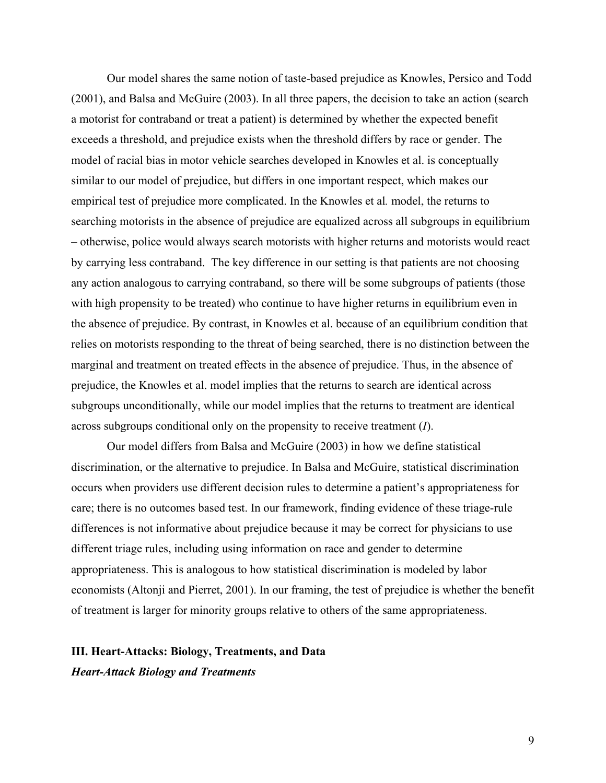Our model shares the same notion of taste-based prejudice as Knowles, Persico and Todd (2001), and Balsa and McGuire (2003). In all three papers, the decision to take an action (search a motorist for contraband or treat a patient) is determined by whether the expected benefit exceeds a threshold, and prejudice exists when the threshold differs by race or gender. The model of racial bias in motor vehicle searches developed in Knowles et al. is conceptually similar to our model of prejudice, but differs in one important respect, which makes our empirical test of prejudice more complicated. In the Knowles et al*.* model, the returns to searching motorists in the absence of prejudice are equalized across all subgroups in equilibrium – otherwise, police would always search motorists with higher returns and motorists would react by carrying less contraband. The key difference in our setting is that patients are not choosing any action analogous to carrying contraband, so there will be some subgroups of patients (those with high propensity to be treated) who continue to have higher returns in equilibrium even in the absence of prejudice. By contrast, in Knowles et al. because of an equilibrium condition that relies on motorists responding to the threat of being searched, there is no distinction between the marginal and treatment on treated effects in the absence of prejudice. Thus, in the absence of prejudice, the Knowles et al. model implies that the returns to search are identical across subgroups unconditionally, while our model implies that the returns to treatment are identical across subgroups conditional only on the propensity to receive treatment (*I*).

 Our model differs from Balsa and McGuire (2003) in how we define statistical discrimination, or the alternative to prejudice. In Balsa and McGuire, statistical discrimination occurs when providers use different decision rules to determine a patient's appropriateness for care; there is no outcomes based test. In our framework, finding evidence of these triage-rule differences is not informative about prejudice because it may be correct for physicians to use different triage rules, including using information on race and gender to determine appropriateness. This is analogous to how statistical discrimination is modeled by labor economists (Altonji and Pierret, 2001). In our framing, the test of prejudice is whether the benefit of treatment is larger for minority groups relative to others of the same appropriateness.

# **III. Heart-Attacks: Biology, Treatments, and Data**  *Heart-Attack Biology and Treatments*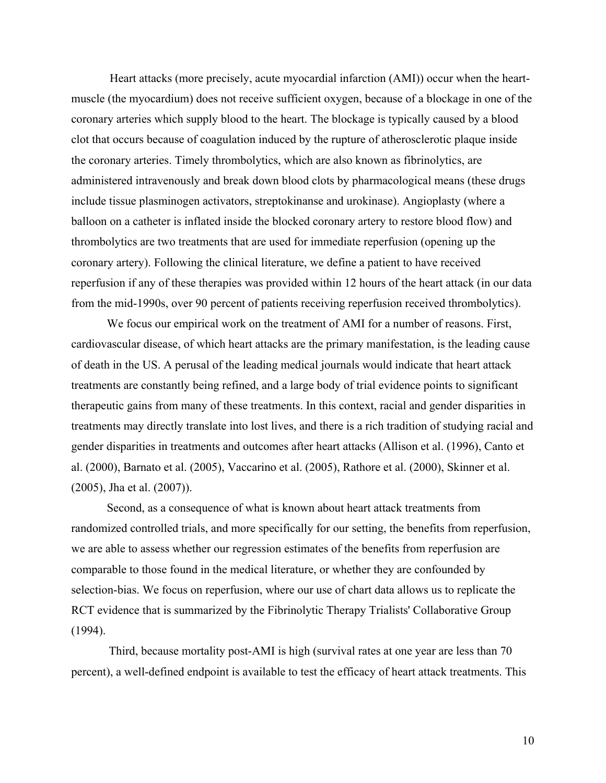Heart attacks (more precisely, acute myocardial infarction (AMI)) occur when the heartmuscle (the myocardium) does not receive sufficient oxygen, because of a blockage in one of the coronary arteries which supply blood to the heart. The blockage is typically caused by a blood clot that occurs because of coagulation induced by the rupture of atherosclerotic plaque inside the coronary arteries. Timely thrombolytics, which are also known as fibrinolytics, are administered intravenously and break down blood clots by pharmacological means (these drugs include tissue plasminogen activators, streptokinanse and urokinase). Angioplasty (where a balloon on a catheter is inflated inside the blocked coronary artery to restore blood flow) and thrombolytics are two treatments that are used for immediate reperfusion (opening up the coronary artery). Following the clinical literature, we define a patient to have received reperfusion if any of these therapies was provided within 12 hours of the heart attack (in our data from the mid-1990s, over 90 percent of patients receiving reperfusion received thrombolytics).

We focus our empirical work on the treatment of AMI for a number of reasons. First, cardiovascular disease, of which heart attacks are the primary manifestation, is the leading cause of death in the US. A perusal of the leading medical journals would indicate that heart attack treatments are constantly being refined, and a large body of trial evidence points to significant therapeutic gains from many of these treatments. In this context, racial and gender disparities in treatments may directly translate into lost lives, and there is a rich tradition of studying racial and gender disparities in treatments and outcomes after heart attacks (Allison et al. (1996), Canto et al. (2000), Barnato et al. (2005), Vaccarino et al. (2005), Rathore et al. (2000), Skinner et al. (2005), Jha et al. (2007)).

Second, as a consequence of what is known about heart attack treatments from randomized controlled trials, and more specifically for our setting, the benefits from reperfusion, we are able to assess whether our regression estimates of the benefits from reperfusion are comparable to those found in the medical literature, or whether they are confounded by selection-bias. We focus on reperfusion, where our use of chart data allows us to replicate the RCT evidence that is summarized by the Fibrinolytic Therapy Trialists' Collaborative Group (1994).

Third, because mortality post-AMI is high (survival rates at one year are less than 70 percent), a well-defined endpoint is available to test the efficacy of heart attack treatments. This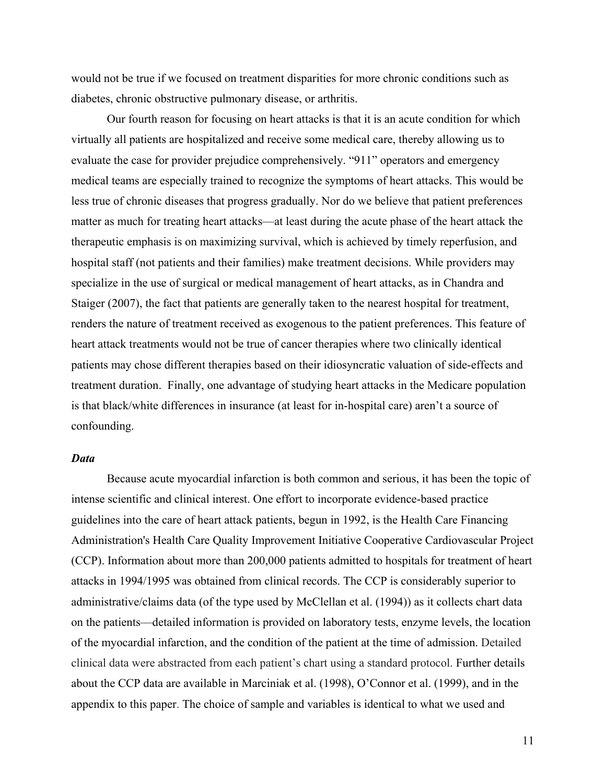would not be true if we focused on treatment disparities for more chronic conditions such as diabetes, chronic obstructive pulmonary disease, or arthritis.

Our fourth reason for focusing on heart attacks is that it is an acute condition for which virtually all patients are hospitalized and receive some medical care, thereby allowing us to evaluate the case for provider prejudice comprehensively. "911" operators and emergency medical teams are especially trained to recognize the symptoms of heart attacks. This would be less true of chronic diseases that progress gradually. Nor do we believe that patient preferences matter as much for treating heart attacks—at least during the acute phase of the heart attack the therapeutic emphasis is on maximizing survival, which is achieved by timely reperfusion, and hospital staff (not patients and their families) make treatment decisions. While providers may specialize in the use of surgical or medical management of heart attacks, as in Chandra and Staiger (2007), the fact that patients are generally taken to the nearest hospital for treatment, renders the nature of treatment received as exogenous to the patient preferences. This feature of heart attack treatments would not be true of cancer therapies where two clinically identical patients may chose different therapies based on their idiosyncratic valuation of side-effects and treatment duration. Finally, one advantage of studying heart attacks in the Medicare population is that black/white differences in insurance (at least for in-hospital care) aren't a source of confounding.

## *Data*

Because acute myocardial infarction is both common and serious, it has been the topic of intense scientific and clinical interest. One effort to incorporate evidence-based practice guidelines into the care of heart attack patients, begun in 1992, is the Health Care Financing Administration's Health Care Quality Improvement Initiative Cooperative Cardiovascular Project (CCP). Information about more than 200,000 patients admitted to hospitals for treatment of heart attacks in 1994/1995 was obtained from clinical records. The CCP is considerably superior to administrative/claims data (of the type used by McClellan et al. (1994)) as it collects chart data on the patients—detailed information is provided on laboratory tests, enzyme levels, the location of the myocardial infarction, and the condition of the patient at the time of admission. Detailed clinical data were abstracted from each patient's chart using a standard protocol. Further details about the CCP data are available in Marciniak et al. (1998), O'Connor et al. (1999), and in the appendix to this paper. The choice of sample and variables is identical to what we used and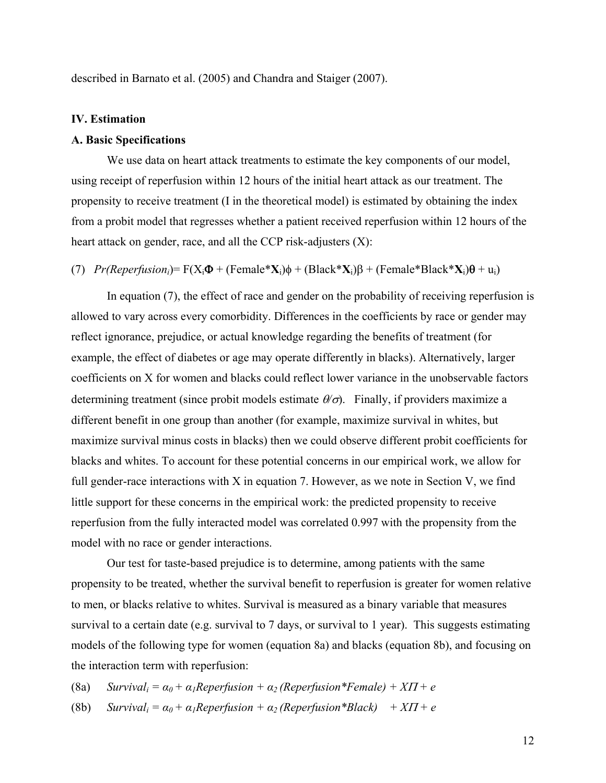described in Barnato et al. (2005) and Chandra and Staiger (2007).

## **IV. Estimation**

### **A. Basic Specifications**

We use data on heart attack treatments to estimate the key components of our model, using receipt of reperfusion within 12 hours of the initial heart attack as our treatment. The propensity to receive treatment (I in the theoretical model) is estimated by obtaining the index from a probit model that regresses whether a patient received reperfusion within 12 hours of the heart attack on gender, race, and all the CCP risk-adjusters (X):

(7)  $Pr(Reperfusion_i) = F(X_i\Phi + (Female*X_i)\phi + (Black*X_i)\beta + (Female*Black*X_i)\theta + u_i)$ 

In equation (7), the effect of race and gender on the probability of receiving reperfusion is allowed to vary across every comorbidity. Differences in the coefficients by race or gender may reflect ignorance, prejudice, or actual knowledge regarding the benefits of treatment (for example, the effect of diabetes or age may operate differently in blacks). Alternatively, larger coefficients on X for women and blacks could reflect lower variance in the unobservable factors determining treatment (since probit models estimate  $\theta/\sigma$ ). Finally, if providers maximize a different benefit in one group than another (for example, maximize survival in whites, but maximize survival minus costs in blacks) then we could observe different probit coefficients for blacks and whites. To account for these potential concerns in our empirical work, we allow for full gender-race interactions with X in equation 7. However, as we note in Section V, we find little support for these concerns in the empirical work: the predicted propensity to receive reperfusion from the fully interacted model was correlated 0.997 with the propensity from the model with no race or gender interactions.

Our test for taste-based prejudice is to determine, among patients with the same propensity to be treated, whether the survival benefit to reperfusion is greater for women relative to men, or blacks relative to whites. Survival is measured as a binary variable that measures survival to a certain date (e.g. survival to 7 days, or survival to 1 year). This suggests estimating models of the following type for women (equation 8a) and blacks (equation 8b), and focusing on the interaction term with reperfusion:

(8a) *Survival<sub>i</sub>* =  $\alpha_0 + \alpha_1$ Reperfusion +  $\alpha_2$  (Reperfusion\*Female) + XII + e

(8b) *Survival<sub>i</sub>* =  $\alpha_0 + \alpha_1$ Reperfusion +  $\alpha_2$  (Reperfusion\*Black) + X $\Pi$  + e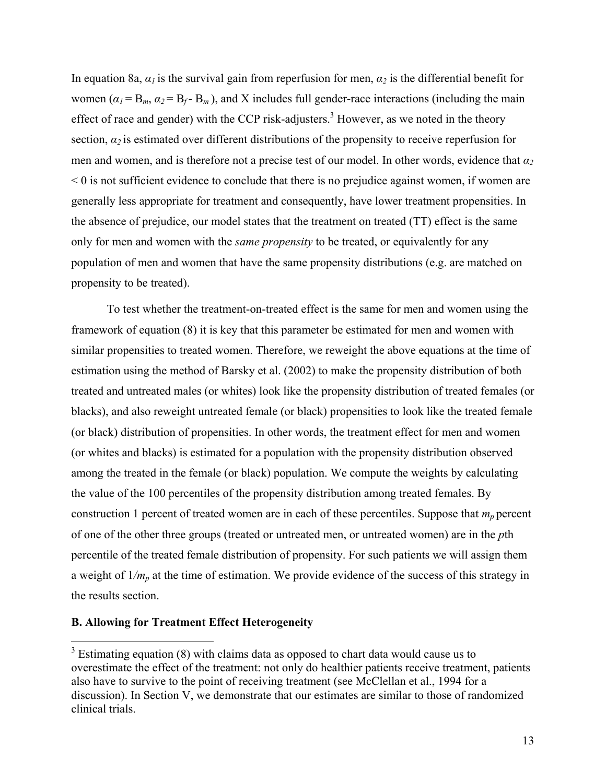In equation 8a,  $\alpha_l$  is the survival gain from reperfusion for men,  $\alpha_2$  is the differential benefit for women  $(a_1 = B_m, a_2 = B_f - B_m)$ , and X includes full gender-race interactions (including the main effect of race and gender) with the CCP risk-adjusters.<sup>3</sup> However, as we noted in the theory section,  $a_2$  is estimated over different distributions of the propensity to receive reperfusion for men and women, and is therefore not a precise test of our model. In other words, evidence that *α<sup>2</sup>*  $\leq 0$  is not sufficient evidence to conclude that there is no prejudice against women, if women are generally less appropriate for treatment and consequently, have lower treatment propensities. In the absence of prejudice, our model states that the treatment on treated (TT) effect is the same only for men and women with the *same propensity* to be treated, or equivalently for any population of men and women that have the same propensity distributions (e.g. are matched on propensity to be treated).

To test whether the treatment-on-treated effect is the same for men and women using the framework of equation (8) it is key that this parameter be estimated for men and women with similar propensities to treated women. Therefore, we reweight the above equations at the time of estimation using the method of Barsky et al. (2002) to make the propensity distribution of both treated and untreated males (or whites) look like the propensity distribution of treated females (or blacks), and also reweight untreated female (or black) propensities to look like the treated female (or black) distribution of propensities. In other words, the treatment effect for men and women (or whites and blacks) is estimated for a population with the propensity distribution observed among the treated in the female (or black) population. We compute the weights by calculating the value of the 100 percentiles of the propensity distribution among treated females. By construction 1 percent of treated women are in each of these percentiles. Suppose that  $m_p$  percent of one of the other three groups (treated or untreated men, or untreated women) are in the *p*th percentile of the treated female distribution of propensity. For such patients we will assign them a weight of 1*/mp* at the time of estimation. We provide evidence of the success of this strategy in the results section.

## **B. Allowing for Treatment Effect Heterogeneity**

1

 $3$  Estimating equation (8) with claims data as opposed to chart data would cause us to overestimate the effect of the treatment: not only do healthier patients receive treatment, patients also have to survive to the point of receiving treatment (see McClellan et al., 1994 for a discussion). In Section V, we demonstrate that our estimates are similar to those of randomized clinical trials.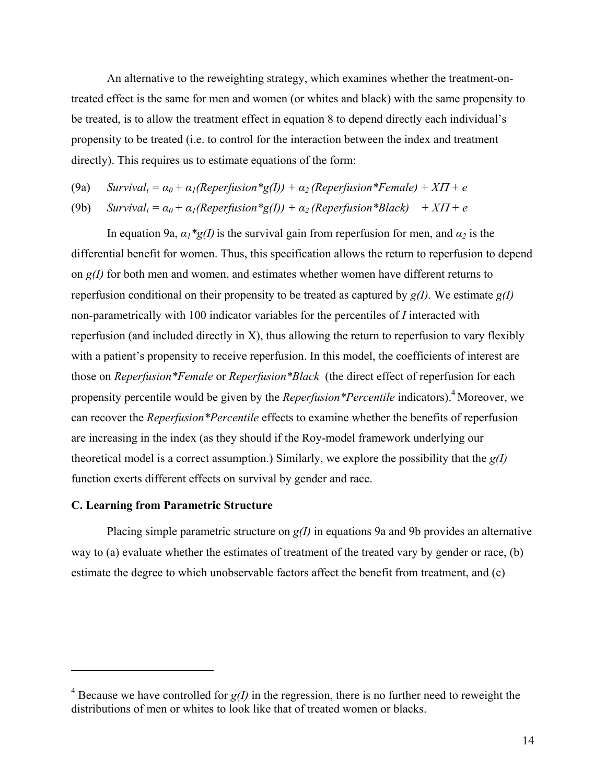An alternative to the reweighting strategy, which examines whether the treatment-ontreated effect is the same for men and women (or whites and black) with the same propensity to be treated, is to allow the treatment effect in equation 8 to depend directly each individual's propensity to be treated (i.e. to control for the interaction between the index and treatment directly). This requires us to estimate equations of the form:

(9a) *Survival<sub>i</sub>* =  $\alpha_0 + \alpha_1$ (Reperfusion\*g(I)) +  $\alpha_2$  (Reperfusion\*Female) + XII + e

(9b)  $Survival_i = \alpha_0 + \alpha_1 (Reperfusion * g(1)) + \alpha_2 (Reperfusion * Black) + XT + e$ 

In equation 9a,  $\alpha_1 * g(1)$  is the survival gain from reperfusion for men, and  $\alpha_2$  is the differential benefit for women. Thus, this specification allows the return to reperfusion to depend on *g(I)* for both men and women, and estimates whether women have different returns to reperfusion conditional on their propensity to be treated as captured by  $g(I)$ . We estimate  $g(I)$ non-parametrically with 100 indicator variables for the percentiles of *I* interacted with reperfusion (and included directly in X), thus allowing the return to reperfusion to vary flexibly with a patient's propensity to receive reperfusion. In this model, the coefficients of interest are those on *Reperfusion\*Female* or *Reperfusion\*Black* (the direct effect of reperfusion for each propensity percentile would be given by the *Reperfusion\*Percentile* indicators).4 Moreover, we can recover the *Reperfusion\*Percentile* effects to examine whether the benefits of reperfusion are increasing in the index (as they should if the Roy-model framework underlying our theoretical model is a correct assumption.) Similarly, we explore the possibility that the *g(I)* function exerts different effects on survival by gender and race.

## **C. Learning from Parametric Structure**

 $\overline{a}$ 

Placing simple parametric structure on *g(I)* in equations 9a and 9b provides an alternative way to (a) evaluate whether the estimates of treatment of the treated vary by gender or race, (b) estimate the degree to which unobservable factors affect the benefit from treatment, and (c)

 $4$  Because we have controlled for  $g(I)$  in the regression, there is no further need to reweight the distributions of men or whites to look like that of treated women or blacks.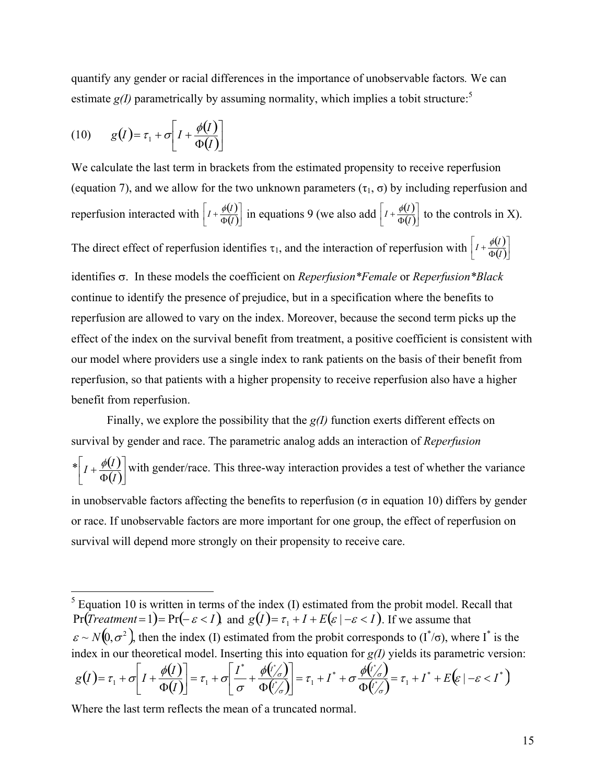quantify any gender or racial differences in the importance of unobservable factors*.* We can estimate  $g(I)$  parametrically by assuming normality, which implies a tobit structure:<sup>5</sup>

(10) 
$$
g(I) = \tau_1 + \sigma \left[ I + \frac{\phi(I)}{\Phi(I)} \right]
$$

We calculate the last term in brackets from the estimated propensity to receive reperfusion (equation 7), and we allow for the two unknown parameters ( $\tau_1$ ,  $\sigma$ ) by including reperfusion and reperfusion interacted with  $\left[I + \frac{\phi(I)}{\Phi(I)}\right]$  $\mathbb{I}$  $I + \frac{\phi(I)}{\Phi(I)}$  in equations 9 (we also add  $\left[I + \frac{\phi(I)}{\Phi(I)}\right]$ L  $I + \frac{\phi(I)}{\Phi(I)}$  to the controls in X).

The direct effect of reperfusion identifies  $\tau_1$ , and the interaction of reperfusion with  $\left[I + \frac{\phi(I)}{\Phi(I)}\right]$  $I + \frac{\phi(I)}{\Phi(I)}$ 

identifies  $\sigma$ . In these models the coefficient on *Reperfusion\*Female* or *Reperfusion\*Black* continue to identify the presence of prejudice, but in a specification where the benefits to reperfusion are allowed to vary on the index. Moreover, because the second term picks up the effect of the index on the survival benefit from treatment, a positive coefficient is consistent with our model where providers use a single index to rank patients on the basis of their benefit from reperfusion, so that patients with a higher propensity to receive reperfusion also have a higher benefit from reperfusion.

Finally, we explore the possibility that the *g(I)* function exerts different effects on survival by gender and race. The parametric analog adds an interaction of *Reperfusion*   $*\bigg[I+\frac{\phi(I)}{2}\bigg]$  $I + \frac{\phi(I)}{\Phi(I)}$  $\overline{\phantom{a}}$ Φ  $\ddot{}$ *I*  $I + \frac{\phi(I)}{\phi(I)}$  with gender/race. This three-way interaction provides a test of whether the variance in unobservable factors affecting the benefits to reperfusion ( $\sigma$  in equation 10) differs by gender or race. If unobservable factors are more important for one group, the effect of reperfusion on survival will depend more strongly on their propensity to receive care.

$$
g(I) = \tau_1 + \sigma \left[ I + \frac{\phi(I)}{\Phi(I)} \right] = \tau_1 + \sigma \left[ \frac{I^*}{\sigma} + \frac{\phi(I'_{\sigma})}{\Phi(I'_{\sigma})} \right] = \tau_1 + I^* + \sigma \frac{\phi(I'_{\sigma})}{\Phi(I'_{\sigma})} = \tau_1 + I^* + E\left(\varepsilon \mid -\varepsilon < I^*\right)
$$

Where the last term reflects the mean of a truncated normal.

 $\overline{a}$ 

 $<sup>5</sup>$  Equation 10 is written in terms of the index (I) estimated from the probit model. Recall that</sup>  $Pr(Treatment = 1) = Pr(-\varepsilon < I)$  and  $g(I) = \tau_1 + I + E(\varepsilon | - \varepsilon < I)$ . If we assume that  $\epsilon \sim N(0,\sigma^2)$ , then the index (I) estimated from the probit corresponds to (I<sup>\*</sup>/ $\sigma$ ), where I<sup>\*</sup> is the index in our theoretical model. Inserting this into equation for *g(I)* yields its parametric version:  $(I) = \tau_1 + \sigma \left[ I + \frac{\phi(I)}{\sigma(I)} \right]$  $\left[\frac{I^*}{I} + \frac{\phi(I^*)}{\phi(I^*)}\right]$  $\left(\frac{1}{\sigma}\right)$ \*  $I(\mathbf{r})$  $\tau_1 + \sigma | I + \frac{\phi(I)}{\sigma} | = \tau_1 + \sigma$ σ σ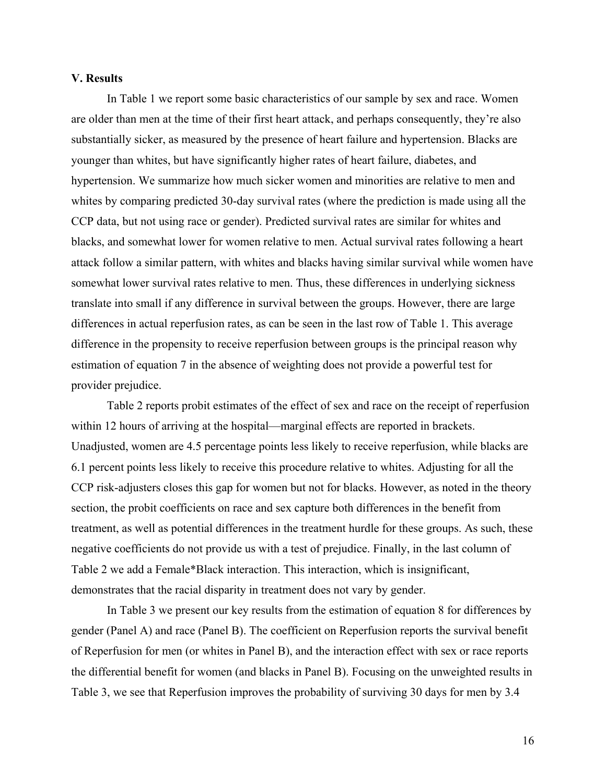#### **V. Results**

In Table 1 we report some basic characteristics of our sample by sex and race. Women are older than men at the time of their first heart attack, and perhaps consequently, they're also substantially sicker, as measured by the presence of heart failure and hypertension. Blacks are younger than whites, but have significantly higher rates of heart failure, diabetes, and hypertension. We summarize how much sicker women and minorities are relative to men and whites by comparing predicted 30-day survival rates (where the prediction is made using all the CCP data, but not using race or gender). Predicted survival rates are similar for whites and blacks, and somewhat lower for women relative to men. Actual survival rates following a heart attack follow a similar pattern, with whites and blacks having similar survival while women have somewhat lower survival rates relative to men. Thus, these differences in underlying sickness translate into small if any difference in survival between the groups. However, there are large differences in actual reperfusion rates, as can be seen in the last row of Table 1. This average difference in the propensity to receive reperfusion between groups is the principal reason why estimation of equation 7 in the absence of weighting does not provide a powerful test for provider prejudice.

Table 2 reports probit estimates of the effect of sex and race on the receipt of reperfusion within 12 hours of arriving at the hospital—marginal effects are reported in brackets. Unadjusted, women are 4.5 percentage points less likely to receive reperfusion, while blacks are 6.1 percent points less likely to receive this procedure relative to whites. Adjusting for all the CCP risk-adjusters closes this gap for women but not for blacks. However, as noted in the theory section, the probit coefficients on race and sex capture both differences in the benefit from treatment, as well as potential differences in the treatment hurdle for these groups. As such, these negative coefficients do not provide us with a test of prejudice. Finally, in the last column of Table 2 we add a Female\*Black interaction. This interaction, which is insignificant, demonstrates that the racial disparity in treatment does not vary by gender.

In Table 3 we present our key results from the estimation of equation 8 for differences by gender (Panel A) and race (Panel B). The coefficient on Reperfusion reports the survival benefit of Reperfusion for men (or whites in Panel B), and the interaction effect with sex or race reports the differential benefit for women (and blacks in Panel B). Focusing on the unweighted results in Table 3, we see that Reperfusion improves the probability of surviving 30 days for men by 3.4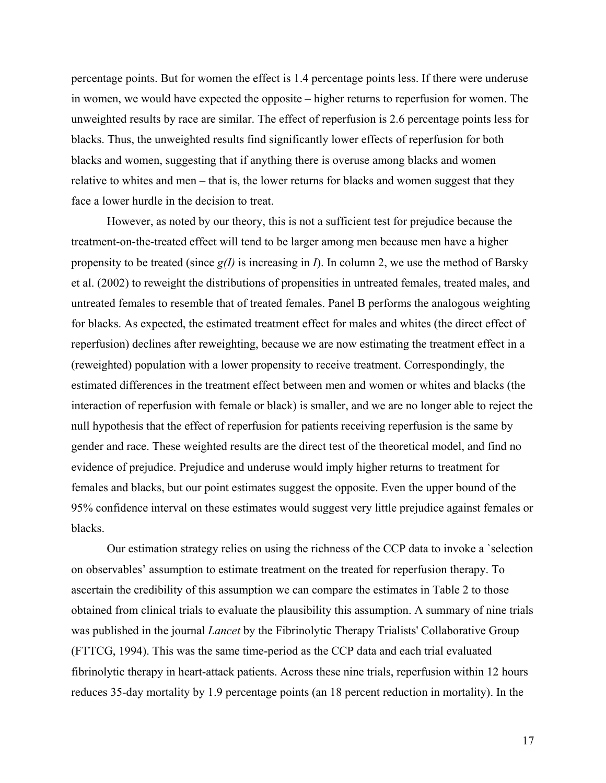percentage points. But for women the effect is 1.4 percentage points less. If there were underuse in women, we would have expected the opposite – higher returns to reperfusion for women. The unweighted results by race are similar. The effect of reperfusion is 2.6 percentage points less for blacks. Thus, the unweighted results find significantly lower effects of reperfusion for both blacks and women, suggesting that if anything there is overuse among blacks and women relative to whites and men – that is, the lower returns for blacks and women suggest that they face a lower hurdle in the decision to treat.

However, as noted by our theory, this is not a sufficient test for prejudice because the treatment-on-the-treated effect will tend to be larger among men because men have a higher propensity to be treated (since *g(I)* is increasing in *I*). In column 2, we use the method of Barsky et al. (2002) to reweight the distributions of propensities in untreated females, treated males, and untreated females to resemble that of treated females. Panel B performs the analogous weighting for blacks. As expected, the estimated treatment effect for males and whites (the direct effect of reperfusion) declines after reweighting, because we are now estimating the treatment effect in a (reweighted) population with a lower propensity to receive treatment. Correspondingly, the estimated differences in the treatment effect between men and women or whites and blacks (the interaction of reperfusion with female or black) is smaller, and we are no longer able to reject the null hypothesis that the effect of reperfusion for patients receiving reperfusion is the same by gender and race. These weighted results are the direct test of the theoretical model, and find no evidence of prejudice. Prejudice and underuse would imply higher returns to treatment for females and blacks, but our point estimates suggest the opposite. Even the upper bound of the 95% confidence interval on these estimates would suggest very little prejudice against females or blacks.

Our estimation strategy relies on using the richness of the CCP data to invoke a `selection on observables' assumption to estimate treatment on the treated for reperfusion therapy. To ascertain the credibility of this assumption we can compare the estimates in Table 2 to those obtained from clinical trials to evaluate the plausibility this assumption. A summary of nine trials was published in the journal *Lancet* by the Fibrinolytic Therapy Trialists' Collaborative Group (FTTCG, 1994). This was the same time-period as the CCP data and each trial evaluated fibrinolytic therapy in heart-attack patients. Across these nine trials, reperfusion within 12 hours reduces 35-day mortality by 1.9 percentage points (an 18 percent reduction in mortality). In the

17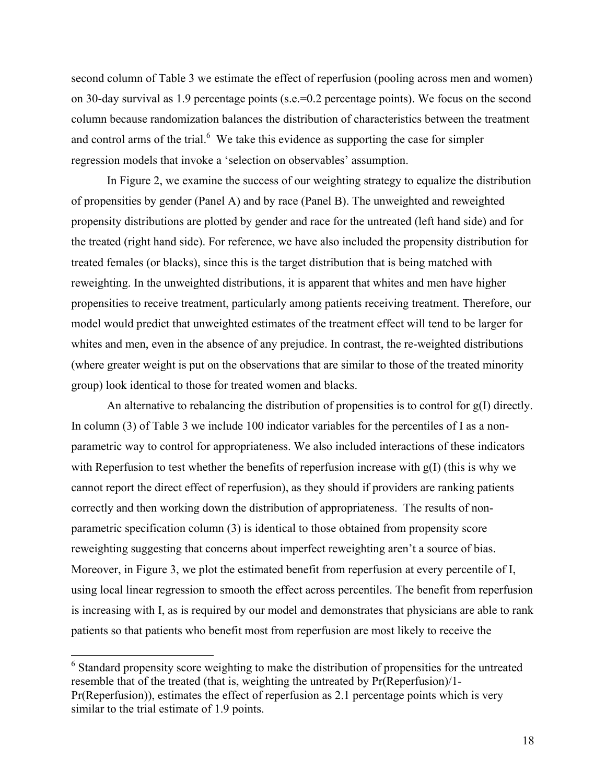second column of Table 3 we estimate the effect of reperfusion (pooling across men and women) on 30-day survival as 1.9 percentage points (s.e.=0.2 percentage points). We focus on the second column because randomization balances the distribution of characteristics between the treatment and control arms of the trial. $<sup>6</sup>$  We take this evidence as supporting the case for simpler</sup> regression models that invoke a 'selection on observables' assumption.

In Figure 2, we examine the success of our weighting strategy to equalize the distribution of propensities by gender (Panel A) and by race (Panel B). The unweighted and reweighted propensity distributions are plotted by gender and race for the untreated (left hand side) and for the treated (right hand side). For reference, we have also included the propensity distribution for treated females (or blacks), since this is the target distribution that is being matched with reweighting. In the unweighted distributions, it is apparent that whites and men have higher propensities to receive treatment, particularly among patients receiving treatment. Therefore, our model would predict that unweighted estimates of the treatment effect will tend to be larger for whites and men, even in the absence of any prejudice. In contrast, the re-weighted distributions (where greater weight is put on the observations that are similar to those of the treated minority group) look identical to those for treated women and blacks.

An alternative to rebalancing the distribution of propensities is to control for g(I) directly. In column (3) of Table 3 we include 100 indicator variables for the percentiles of I as a nonparametric way to control for appropriateness. We also included interactions of these indicators with Reperfusion to test whether the benefits of reperfusion increase with  $g(I)$  (this is why we cannot report the direct effect of reperfusion), as they should if providers are ranking patients correctly and then working down the distribution of appropriateness. The results of nonparametric specification column (3) is identical to those obtained from propensity score reweighting suggesting that concerns about imperfect reweighting aren't a source of bias. Moreover, in Figure 3, we plot the estimated benefit from reperfusion at every percentile of I, using local linear regression to smooth the effect across percentiles. The benefit from reperfusion is increasing with I, as is required by our model and demonstrates that physicians are able to rank patients so that patients who benefit most from reperfusion are most likely to receive the

 $\overline{a}$ 

<sup>&</sup>lt;sup>6</sup> Standard propensity score weighting to make the distribution of propensities for the untreated resemble that of the treated (that is, weighting the untreated by Pr(Reperfusion)/1- Pr(Reperfusion)), estimates the effect of reperfusion as 2.1 percentage points which is very similar to the trial estimate of 1.9 points.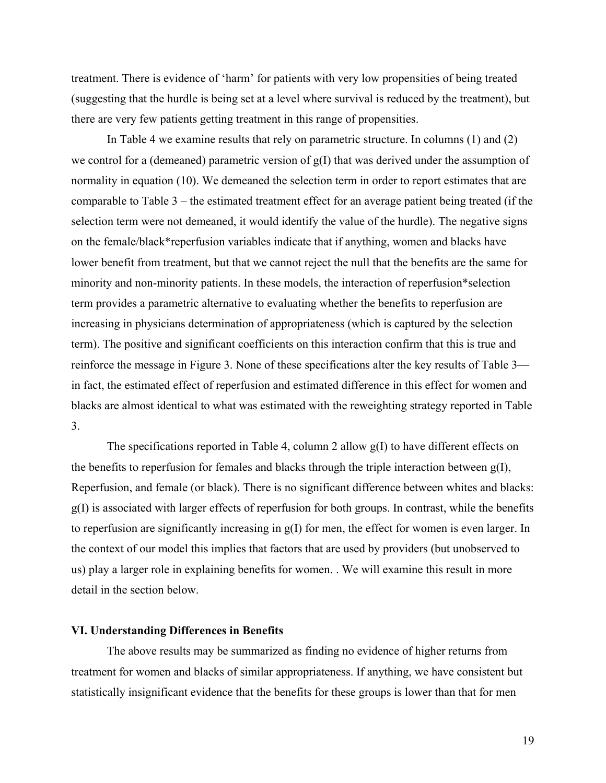treatment. There is evidence of 'harm' for patients with very low propensities of being treated (suggesting that the hurdle is being set at a level where survival is reduced by the treatment), but there are very few patients getting treatment in this range of propensities.

In Table 4 we examine results that rely on parametric structure. In columns (1) and (2) we control for a (demeaned) parametric version of g(I) that was derived under the assumption of normality in equation (10). We demeaned the selection term in order to report estimates that are comparable to Table 3 – the estimated treatment effect for an average patient being treated (if the selection term were not demeaned, it would identify the value of the hurdle). The negative signs on the female/black\*reperfusion variables indicate that if anything, women and blacks have lower benefit from treatment, but that we cannot reject the null that the benefits are the same for minority and non-minority patients. In these models, the interaction of reperfusion\*selection term provides a parametric alternative to evaluating whether the benefits to reperfusion are increasing in physicians determination of appropriateness (which is captured by the selection term). The positive and significant coefficients on this interaction confirm that this is true and reinforce the message in Figure 3. None of these specifications alter the key results of Table 3 in fact, the estimated effect of reperfusion and estimated difference in this effect for women and blacks are almost identical to what was estimated with the reweighting strategy reported in Table 3.

The specifications reported in Table 4, column 2 allow g(I) to have different effects on the benefits to reperfusion for females and blacks through the triple interaction between g(I), Reperfusion, and female (or black). There is no significant difference between whites and blacks: g(I) is associated with larger effects of reperfusion for both groups. In contrast, while the benefits to reperfusion are significantly increasing in g(I) for men, the effect for women is even larger. In the context of our model this implies that factors that are used by providers (but unobserved to us) play a larger role in explaining benefits for women. . We will examine this result in more detail in the section below.

## **VI. Understanding Differences in Benefits**

The above results may be summarized as finding no evidence of higher returns from treatment for women and blacks of similar appropriateness. If anything, we have consistent but statistically insignificant evidence that the benefits for these groups is lower than that for men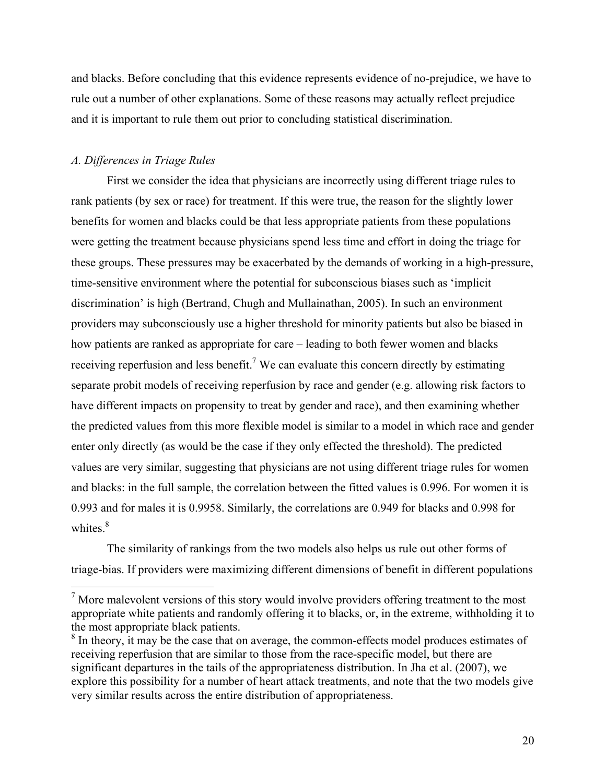and blacks. Before concluding that this evidence represents evidence of no-prejudice, we have to rule out a number of other explanations. Some of these reasons may actually reflect prejudice and it is important to rule them out prior to concluding statistical discrimination.

### *A. Differences in Triage Rules*

 $\overline{a}$ 

 First we consider the idea that physicians are incorrectly using different triage rules to rank patients (by sex or race) for treatment. If this were true, the reason for the slightly lower benefits for women and blacks could be that less appropriate patients from these populations were getting the treatment because physicians spend less time and effort in doing the triage for these groups. These pressures may be exacerbated by the demands of working in a high-pressure, time-sensitive environment where the potential for subconscious biases such as 'implicit discrimination' is high (Bertrand, Chugh and Mullainathan, 2005). In such an environment providers may subconsciously use a higher threshold for minority patients but also be biased in how patients are ranked as appropriate for care – leading to both fewer women and blacks receiving reperfusion and less benefit.<sup>7</sup> We can evaluate this concern directly by estimating separate probit models of receiving reperfusion by race and gender (e.g. allowing risk factors to have different impacts on propensity to treat by gender and race), and then examining whether the predicted values from this more flexible model is similar to a model in which race and gender enter only directly (as would be the case if they only effected the threshold). The predicted values are very similar, suggesting that physicians are not using different triage rules for women and blacks: in the full sample, the correlation between the fitted values is 0.996. For women it is 0.993 and for males it is 0.9958. Similarly, the correlations are 0.949 for blacks and 0.998 for whites.<sup>8</sup>

The similarity of rankings from the two models also helps us rule out other forms of triage-bias. If providers were maximizing different dimensions of benefit in different populations

 $<sup>7</sup>$  More malevolent versions of this story would involve providers offering treatment to the most</sup> appropriate white patients and randomly offering it to blacks, or, in the extreme, withholding it to the most appropriate black patients.

<sup>&</sup>lt;sup>8</sup> In theory, it may be the case that on average, the common-effects model produces estimates of receiving reperfusion that are similar to those from the race-specific model, but there are significant departures in the tails of the appropriateness distribution. In Jha et al. (2007), we explore this possibility for a number of heart attack treatments, and note that the two models give very similar results across the entire distribution of appropriateness.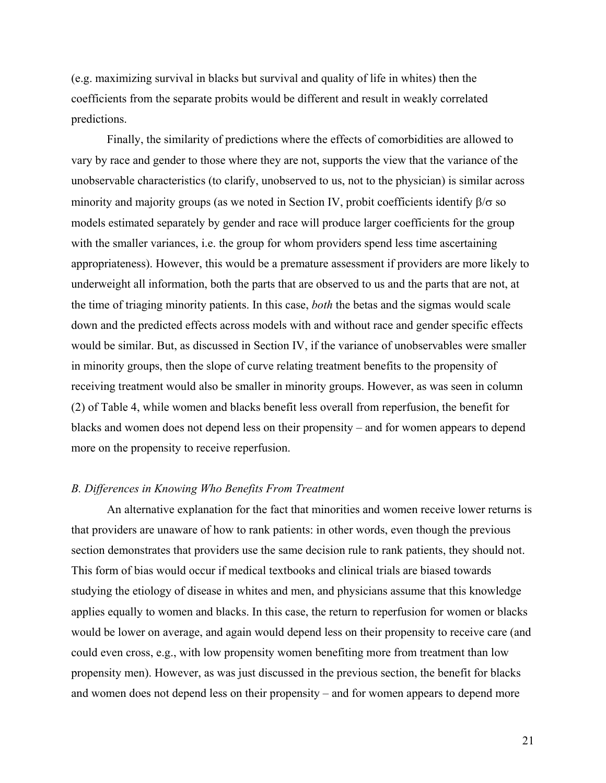(e.g. maximizing survival in blacks but survival and quality of life in whites) then the coefficients from the separate probits would be different and result in weakly correlated predictions.

Finally, the similarity of predictions where the effects of comorbidities are allowed to vary by race and gender to those where they are not, supports the view that the variance of the unobservable characteristics (to clarify, unobserved to us, not to the physician) is similar across minority and majority groups (as we noted in Section IV, probit coefficients identify  $\beta/\sigma$  so models estimated separately by gender and race will produce larger coefficients for the group with the smaller variances, i.e. the group for whom providers spend less time ascertaining appropriateness). However, this would be a premature assessment if providers are more likely to underweight all information, both the parts that are observed to us and the parts that are not, at the time of triaging minority patients. In this case, *both* the betas and the sigmas would scale down and the predicted effects across models with and without race and gender specific effects would be similar. But, as discussed in Section IV, if the variance of unobservables were smaller in minority groups, then the slope of curve relating treatment benefits to the propensity of receiving treatment would also be smaller in minority groups. However, as was seen in column (2) of Table 4, while women and blacks benefit less overall from reperfusion, the benefit for blacks and women does not depend less on their propensity – and for women appears to depend more on the propensity to receive reperfusion.

## *B. Differences in Knowing Who Benefits From Treatment*

An alternative explanation for the fact that minorities and women receive lower returns is that providers are unaware of how to rank patients: in other words, even though the previous section demonstrates that providers use the same decision rule to rank patients, they should not. This form of bias would occur if medical textbooks and clinical trials are biased towards studying the etiology of disease in whites and men, and physicians assume that this knowledge applies equally to women and blacks. In this case, the return to reperfusion for women or blacks would be lower on average, and again would depend less on their propensity to receive care (and could even cross, e.g., with low propensity women benefiting more from treatment than low propensity men). However, as was just discussed in the previous section, the benefit for blacks and women does not depend less on their propensity – and for women appears to depend more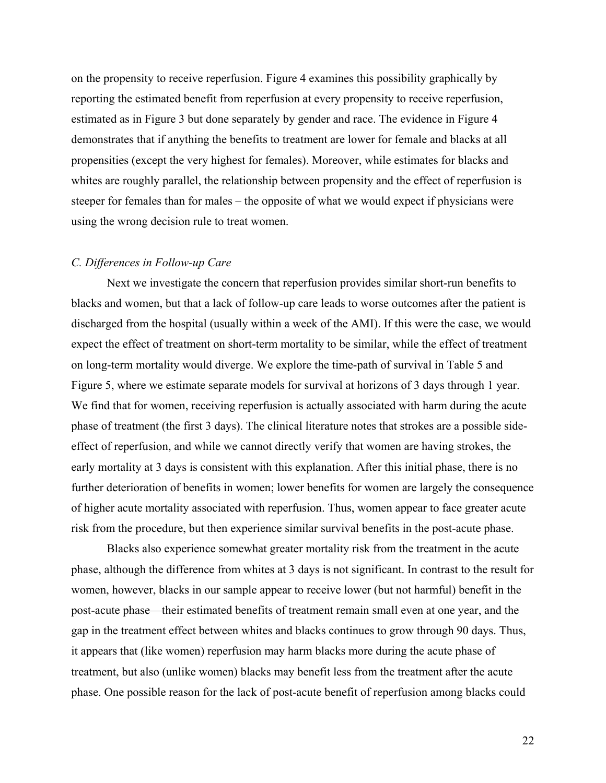on the propensity to receive reperfusion. Figure 4 examines this possibility graphically by reporting the estimated benefit from reperfusion at every propensity to receive reperfusion, estimated as in Figure 3 but done separately by gender and race. The evidence in Figure 4 demonstrates that if anything the benefits to treatment are lower for female and blacks at all propensities (except the very highest for females). Moreover, while estimates for blacks and whites are roughly parallel, the relationship between propensity and the effect of reperfusion is steeper for females than for males – the opposite of what we would expect if physicians were using the wrong decision rule to treat women.

#### *C. Differences in Follow-up Care*

Next we investigate the concern that reperfusion provides similar short-run benefits to blacks and women, but that a lack of follow-up care leads to worse outcomes after the patient is discharged from the hospital (usually within a week of the AMI). If this were the case, we would expect the effect of treatment on short-term mortality to be similar, while the effect of treatment on long-term mortality would diverge. We explore the time-path of survival in Table 5 and Figure 5, where we estimate separate models for survival at horizons of 3 days through 1 year. We find that for women, receiving reperfusion is actually associated with harm during the acute phase of treatment (the first 3 days). The clinical literature notes that strokes are a possible sideeffect of reperfusion, and while we cannot directly verify that women are having strokes, the early mortality at 3 days is consistent with this explanation. After this initial phase, there is no further deterioration of benefits in women; lower benefits for women are largely the consequence of higher acute mortality associated with reperfusion. Thus, women appear to face greater acute risk from the procedure, but then experience similar survival benefits in the post-acute phase.

Blacks also experience somewhat greater mortality risk from the treatment in the acute phase, although the difference from whites at 3 days is not significant. In contrast to the result for women, however, blacks in our sample appear to receive lower (but not harmful) benefit in the post-acute phase—their estimated benefits of treatment remain small even at one year, and the gap in the treatment effect between whites and blacks continues to grow through 90 days. Thus, it appears that (like women) reperfusion may harm blacks more during the acute phase of treatment, but also (unlike women) blacks may benefit less from the treatment after the acute phase. One possible reason for the lack of post-acute benefit of reperfusion among blacks could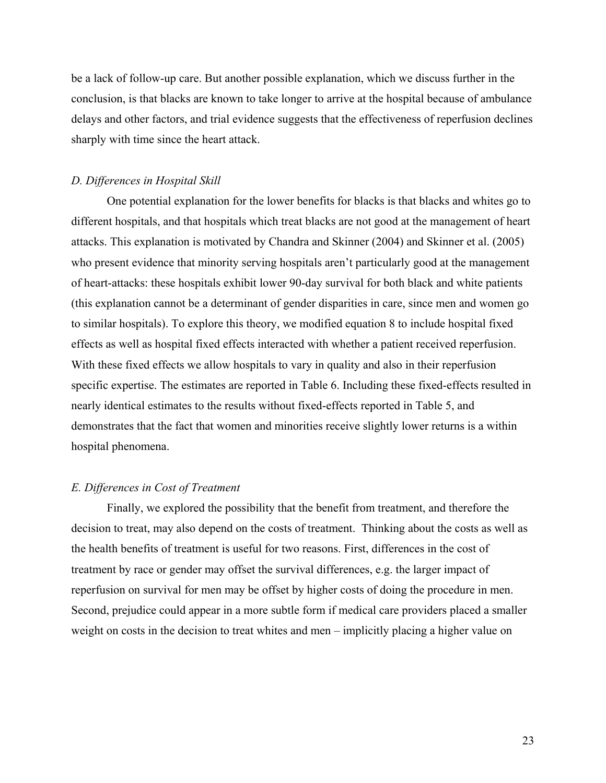be a lack of follow-up care. But another possible explanation, which we discuss further in the conclusion, is that blacks are known to take longer to arrive at the hospital because of ambulance delays and other factors, and trial evidence suggests that the effectiveness of reperfusion declines sharply with time since the heart attack.

#### *D. Differences in Hospital Skill*

One potential explanation for the lower benefits for blacks is that blacks and whites go to different hospitals, and that hospitals which treat blacks are not good at the management of heart attacks. This explanation is motivated by Chandra and Skinner (2004) and Skinner et al. (2005) who present evidence that minority serving hospitals aren't particularly good at the management of heart-attacks: these hospitals exhibit lower 90-day survival for both black and white patients (this explanation cannot be a determinant of gender disparities in care, since men and women go to similar hospitals). To explore this theory, we modified equation 8 to include hospital fixed effects as well as hospital fixed effects interacted with whether a patient received reperfusion. With these fixed effects we allow hospitals to vary in quality and also in their reperfusion specific expertise. The estimates are reported in Table 6. Including these fixed-effects resulted in nearly identical estimates to the results without fixed-effects reported in Table 5, and demonstrates that the fact that women and minorities receive slightly lower returns is a within hospital phenomena.

#### *E. Differences in Cost of Treatment*

 Finally, we explored the possibility that the benefit from treatment, and therefore the decision to treat, may also depend on the costs of treatment. Thinking about the costs as well as the health benefits of treatment is useful for two reasons. First, differences in the cost of treatment by race or gender may offset the survival differences, e.g. the larger impact of reperfusion on survival for men may be offset by higher costs of doing the procedure in men. Second, prejudice could appear in a more subtle form if medical care providers placed a smaller weight on costs in the decision to treat whites and men – implicitly placing a higher value on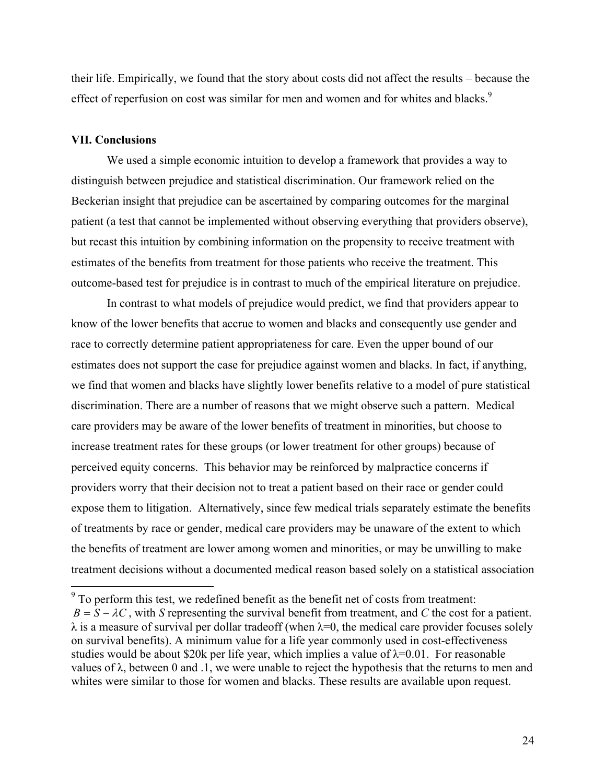their life. Empirically, we found that the story about costs did not affect the results – because the effect of reperfusion on cost was similar for men and women and for whites and blacks.<sup>9</sup>

#### **VII. Conclusions**

<u>.</u>

We used a simple economic intuition to develop a framework that provides a way to distinguish between prejudice and statistical discrimination. Our framework relied on the Beckerian insight that prejudice can be ascertained by comparing outcomes for the marginal patient (a test that cannot be implemented without observing everything that providers observe), but recast this intuition by combining information on the propensity to receive treatment with estimates of the benefits from treatment for those patients who receive the treatment. This outcome-based test for prejudice is in contrast to much of the empirical literature on prejudice.

In contrast to what models of prejudice would predict, we find that providers appear to know of the lower benefits that accrue to women and blacks and consequently use gender and race to correctly determine patient appropriateness for care. Even the upper bound of our estimates does not support the case for prejudice against women and blacks. In fact, if anything, we find that women and blacks have slightly lower benefits relative to a model of pure statistical discrimination. There are a number of reasons that we might observe such a pattern. Medical care providers may be aware of the lower benefits of treatment in minorities, but choose to increase treatment rates for these groups (or lower treatment for other groups) because of perceived equity concerns. This behavior may be reinforced by malpractice concerns if providers worry that their decision not to treat a patient based on their race or gender could expose them to litigation. Alternatively, since few medical trials separately estimate the benefits of treatments by race or gender, medical care providers may be unaware of the extent to which the benefits of treatment are lower among women and minorities, or may be unwilling to make treatment decisions without a documented medical reason based solely on a statistical association

 $9^9$  To perform this test, we redefined benefit as the benefit net of costs from treatment:  $B = S - \lambda C$ , with *S* representing the survival benefit from treatment, and *C* the cost for a patient.  $\lambda$  is a measure of survival per dollar tradeoff (when  $\lambda=0$ , the medical care provider focuses solely on survival benefits). A minimum value for a life year commonly used in cost-effectiveness studies would be about \$20k per life year, which implies a value of  $\lambda$ =0.01. For reasonable values of  $λ$ , between 0 and  $.1$ , we were unable to reject the hypothesis that the returns to men and whites were similar to those for women and blacks. These results are available upon request.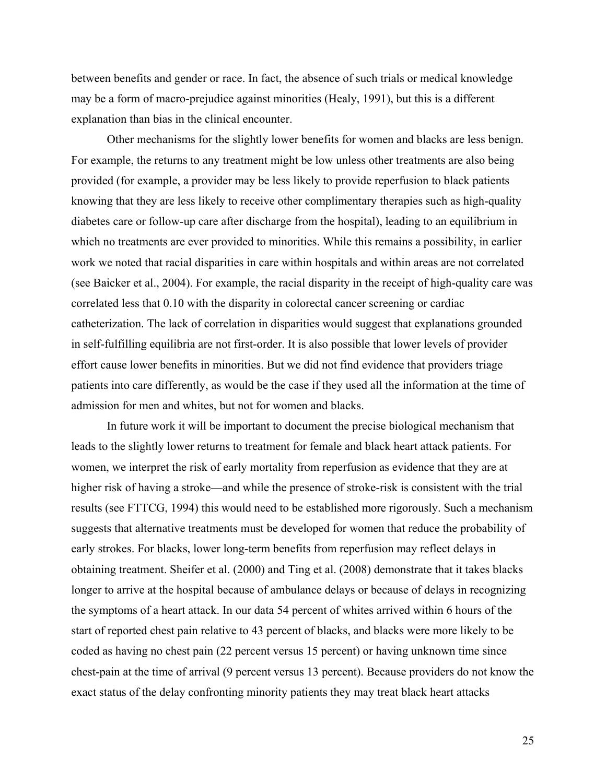between benefits and gender or race. In fact, the absence of such trials or medical knowledge may be a form of macro-prejudice against minorities (Healy, 1991), but this is a different explanation than bias in the clinical encounter.

Other mechanisms for the slightly lower benefits for women and blacks are less benign. For example, the returns to any treatment might be low unless other treatments are also being provided (for example, a provider may be less likely to provide reperfusion to black patients knowing that they are less likely to receive other complimentary therapies such as high-quality diabetes care or follow-up care after discharge from the hospital), leading to an equilibrium in which no treatments are ever provided to minorities. While this remains a possibility, in earlier work we noted that racial disparities in care within hospitals and within areas are not correlated (see Baicker et al., 2004). For example, the racial disparity in the receipt of high-quality care was correlated less that 0.10 with the disparity in colorectal cancer screening or cardiac catheterization. The lack of correlation in disparities would suggest that explanations grounded in self-fulfilling equilibria are not first-order. It is also possible that lower levels of provider effort cause lower benefits in minorities. But we did not find evidence that providers triage patients into care differently, as would be the case if they used all the information at the time of admission for men and whites, but not for women and blacks.

In future work it will be important to document the precise biological mechanism that leads to the slightly lower returns to treatment for female and black heart attack patients. For women, we interpret the risk of early mortality from reperfusion as evidence that they are at higher risk of having a stroke—and while the presence of stroke-risk is consistent with the trial results (see FTTCG, 1994) this would need to be established more rigorously. Such a mechanism suggests that alternative treatments must be developed for women that reduce the probability of early strokes. For blacks, lower long-term benefits from reperfusion may reflect delays in obtaining treatment. Sheifer et al. (2000) and Ting et al. (2008) demonstrate that it takes blacks longer to arrive at the hospital because of ambulance delays or because of delays in recognizing the symptoms of a heart attack. In our data 54 percent of whites arrived within 6 hours of the start of reported chest pain relative to 43 percent of blacks, and blacks were more likely to be coded as having no chest pain (22 percent versus 15 percent) or having unknown time since chest-pain at the time of arrival (9 percent versus 13 percent). Because providers do not know the exact status of the delay confronting minority patients they may treat black heart attacks

25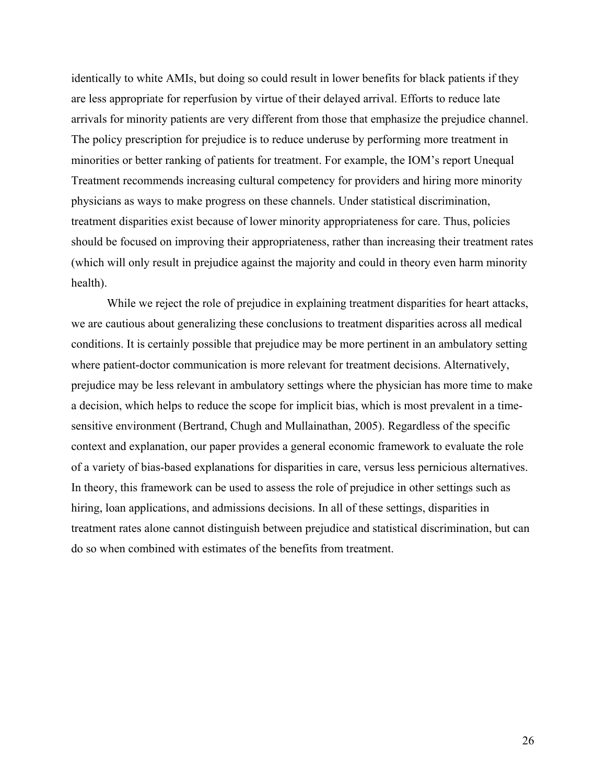identically to white AMIs, but doing so could result in lower benefits for black patients if they are less appropriate for reperfusion by virtue of their delayed arrival. Efforts to reduce late arrivals for minority patients are very different from those that emphasize the prejudice channel. The policy prescription for prejudice is to reduce underuse by performing more treatment in minorities or better ranking of patients for treatment. For example, the IOM's report Unequal Treatment recommends increasing cultural competency for providers and hiring more minority physicians as ways to make progress on these channels. Under statistical discrimination, treatment disparities exist because of lower minority appropriateness for care. Thus, policies should be focused on improving their appropriateness, rather than increasing their treatment rates (which will only result in prejudice against the majority and could in theory even harm minority health).

While we reject the role of prejudice in explaining treatment disparities for heart attacks, we are cautious about generalizing these conclusions to treatment disparities across all medical conditions. It is certainly possible that prejudice may be more pertinent in an ambulatory setting where patient-doctor communication is more relevant for treatment decisions. Alternatively, prejudice may be less relevant in ambulatory settings where the physician has more time to make a decision, which helps to reduce the scope for implicit bias, which is most prevalent in a timesensitive environment (Bertrand, Chugh and Mullainathan, 2005). Regardless of the specific context and explanation, our paper provides a general economic framework to evaluate the role of a variety of bias-based explanations for disparities in care, versus less pernicious alternatives. In theory, this framework can be used to assess the role of prejudice in other settings such as hiring, loan applications, and admissions decisions. In all of these settings, disparities in treatment rates alone cannot distinguish between prejudice and statistical discrimination, but can do so when combined with estimates of the benefits from treatment.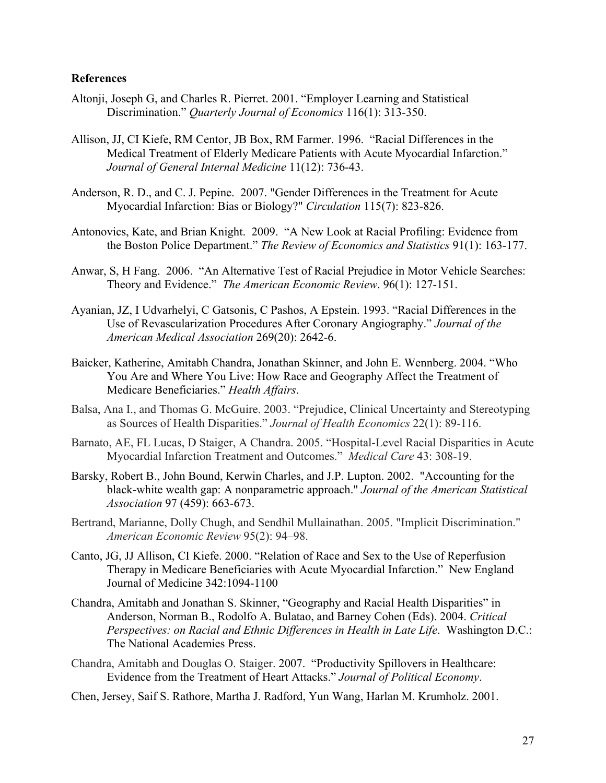## **References**

- Altonji, Joseph G, and Charles R. Pierret. 2001. "Employer Learning and Statistical Discrimination." *Quarterly Journal of Economics* 116(1): 313-350.
- Allison, JJ, CI Kiefe, RM Centor, JB Box, RM Farmer. 1996. "Racial Differences in the Medical Treatment of Elderly Medicare Patients with Acute Myocardial Infarction." *Journal of General Internal Medicine* 11(12): 736-43.
- Anderson, R. D., and C. J. Pepine. 2007. "Gender Differences in the Treatment for Acute Myocardial Infarction: Bias or Biology?" *Circulation* 115(7): 823-826.
- Antonovics, Kate, and Brian Knight. 2009. "A New Look at Racial Profiling: Evidence from the Boston Police Department." *The Review of Economics and Statistics* 91(1): 163-177.
- Anwar, S, H Fang. 2006. "An Alternative Test of Racial Prejudice in Motor Vehicle Searches: Theory and Evidence." *The American Economic Review*. 96(1): 127-151.
- Ayanian, JZ, I Udvarhelyi, C Gatsonis, C Pashos, A Epstein. 1993. "Racial Differences in the Use of Revascularization Procedures After Coronary Angiography." *Journal of the American Medical Association* 269(20): 2642-6.
- Baicker, Katherine, Amitabh Chandra, Jonathan Skinner, and John E. Wennberg. 2004. "Who You Are and Where You Live: How Race and Geography Affect the Treatment of Medicare Beneficiaries." *Health Affairs*.
- Balsa, Ana I., and Thomas G. McGuire. 2003. "Prejudice, Clinical Uncertainty and Stereotyping as Sources of Health Disparities." *Journal of Health Economics* 22(1): 89-116.
- Barnato, AE, FL Lucas, D Staiger, A Chandra. 2005. "Hospital-Level Racial Disparities in Acute Myocardial Infarction Treatment and Outcomes." *Medical Care* 43: 308-19.
- Barsky, Robert B., John Bound, Kerwin Charles, and J.P. Lupton. 2002. "Accounting for the black-white wealth gap: A nonparametric approach." *Journal of the American Statistical Association* 97 (459): 663-673.
- Bertrand, Marianne, Dolly Chugh, and Sendhil Mullainathan. 2005. "Implicit Discrimination." *American Economic Review* 95(2): 94–98.
- Canto, JG, JJ Allison, CI Kiefe. 2000. "Relation of Race and Sex to the Use of Reperfusion Therapy in Medicare Beneficiaries with Acute Myocardial Infarction." New England Journal of Medicine 342:1094-1100
- Chandra, Amitabh and Jonathan S. Skinner, "Geography and Racial Health Disparities" in Anderson, Norman B., Rodolfo A. Bulatao, and Barney Cohen (Eds). 2004. *Critical Perspectives: on Racial and Ethnic Differences in Health in Late Life*. Washington D.C.: The National Academies Press.
- Chandra, Amitabh and Douglas O. Staiger. 2007. "Productivity Spillovers in Healthcare: Evidence from the Treatment of Heart Attacks." *Journal of Political Economy*.
- Chen, Jersey, Saif S. Rathore, Martha J. Radford, Yun Wang, Harlan M. Krumholz. 2001.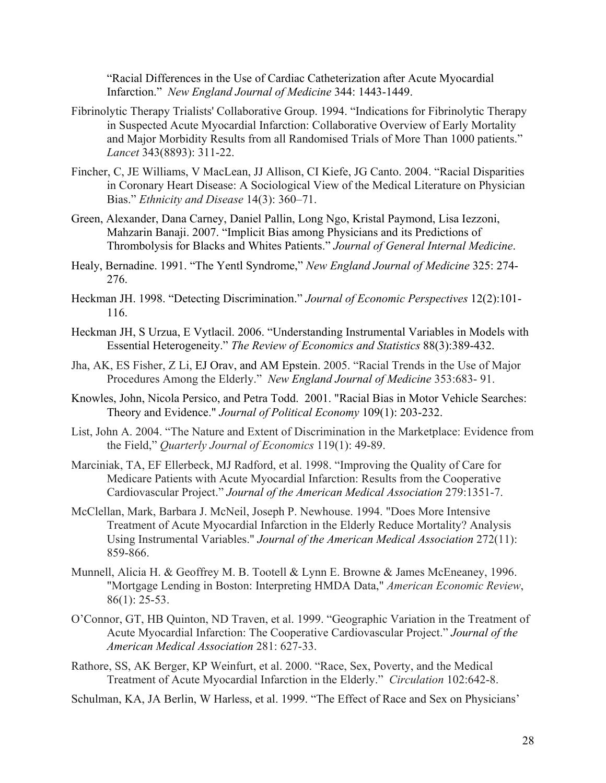"Racial Differences in the Use of Cardiac Catheterization after Acute Myocardial Infarction." *New England Journal of Medicine* 344: 1443-1449.

- Fibrinolytic Therapy Trialists' Collaborative Group. 1994. "Indications for Fibrinolytic Therapy in Suspected Acute Myocardial Infarction: Collaborative Overview of Early Mortality and Major Morbidity Results from all Randomised Trials of More Than 1000 patients." *Lancet* 343(8893): 311-22.
- Fincher, C, JE Williams, V MacLean, JJ Allison, CI Kiefe, JG Canto. 2004. "Racial Disparities in Coronary Heart Disease: A Sociological View of the Medical Literature on Physician Bias." *Ethnicity and Disease* 14(3): 360–71.
- Green, Alexander, Dana Carney, Daniel Pallin, Long Ngo, Kristal Paymond, Lisa Iezzoni, Mahzarin Banaji. 2007. "Implicit Bias among Physicians and its Predictions of Thrombolysis for Blacks and Whites Patients." *Journal of General Internal Medicine*.
- Healy, Bernadine. 1991. "The Yentl Syndrome," *New England Journal of Medicine* 325: 274- 276.
- Heckman JH. 1998. "Detecting Discrimination." *Journal of Economic Perspectives* 12(2):101- 116.
- Heckman JH, S Urzua, E Vytlacil. 2006. "Understanding Instrumental Variables in Models with Essential Heterogeneity." *The Review of Economics and Statistics* 88(3):389-432.
- Jha, AK, ES Fisher, Z Li, EJ Orav, and AM Epstein. 2005. "Racial Trends in the Use of Major Procedures Among the Elderly." *New England Journal of Medicine* 353:683- 91.
- Knowles, John, Nicola Persico, and Petra Todd. 2001. "Racial Bias in Motor Vehicle Searches: Theory and Evidence." *Journal of Political Economy* 109(1): 203-232.
- List, John A. 2004. "The Nature and Extent of Discrimination in the Marketplace: Evidence from the Field," *Quarterly Journal of Economics* 119(1): 49-89.
- Marciniak, TA, EF Ellerbeck, MJ Radford, et al. 1998. "Improving the Quality of Care for Medicare Patients with Acute Myocardial Infarction: Results from the Cooperative Cardiovascular Project." *Journal of the American Medical Association* 279:1351-7.
- McClellan, Mark, Barbara J. McNeil, Joseph P. Newhouse. 1994. "Does More Intensive Treatment of Acute Myocardial Infarction in the Elderly Reduce Mortality? Analysis Using Instrumental Variables." *Journal of the American Medical Association* 272(11): 859-866.
- Munnell, Alicia H. & Geoffrey M. B. Tootell & Lynn E. Browne & James McEneaney, 1996. "Mortgage Lending in Boston: Interpreting HMDA Data," *American Economic Review*,  $86(1)$ : 25-53.
- O'Connor, GT, HB Quinton, ND Traven, et al. 1999. "Geographic Variation in the Treatment of Acute Myocardial Infarction: The Cooperative Cardiovascular Project." *Journal of the American Medical Association* 281: 627-33.
- Rathore, SS, AK Berger, KP Weinfurt, et al. 2000. "Race, Sex, Poverty, and the Medical Treatment of Acute Myocardial Infarction in the Elderly." *Circulation* 102:642-8.

Schulman, KA, JA Berlin, W Harless, et al. 1999. "The Effect of Race and Sex on Physicians'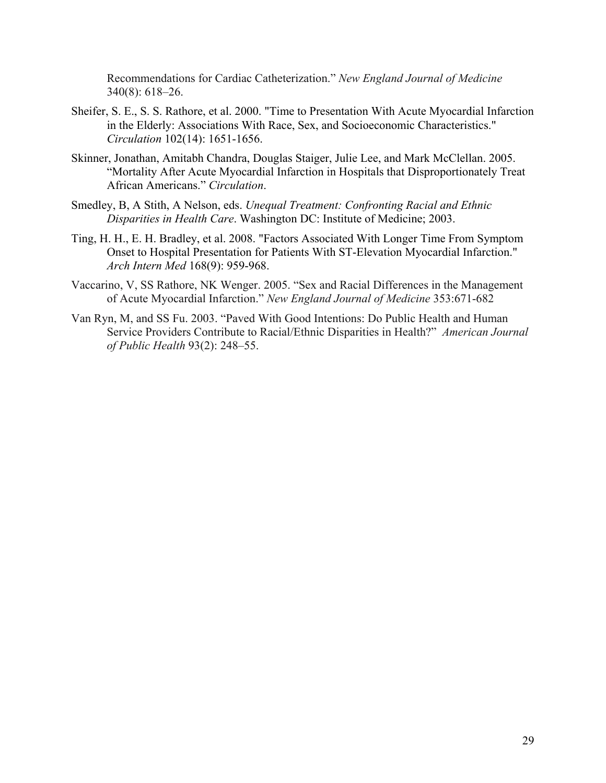Recommendations for Cardiac Catheterization." *New England Journal of Medicine* 340(8): 618–26.

- Sheifer, S. E., S. S. Rathore, et al. 2000. "Time to Presentation With Acute Myocardial Infarction in the Elderly: Associations With Race, Sex, and Socioeconomic Characteristics." *Circulation* 102(14): 1651-1656.
- Skinner, Jonathan, Amitabh Chandra, Douglas Staiger, Julie Lee, and Mark McClellan. 2005. "Mortality After Acute Myocardial Infarction in Hospitals that Disproportionately Treat African Americans." *Circulation*.
- Smedley, B, A Stith, A Nelson, eds. *Unequal Treatment: Confronting Racial and Ethnic Disparities in Health Care*. Washington DC: Institute of Medicine; 2003.
- Ting, H. H., E. H. Bradley, et al. 2008. "Factors Associated With Longer Time From Symptom Onset to Hospital Presentation for Patients With ST-Elevation Myocardial Infarction." *Arch Intern Med* 168(9): 959-968.
- Vaccarino, V, SS Rathore, NK Wenger. 2005. "Sex and Racial Differences in the Management of Acute Myocardial Infarction." *New England Journal of Medicine* 353:671-682
- Van Ryn, M, and SS Fu. 2003. "Paved With Good Intentions: Do Public Health and Human Service Providers Contribute to Racial/Ethnic Disparities in Health?" *American Journal of Public Health* 93(2): 248–55.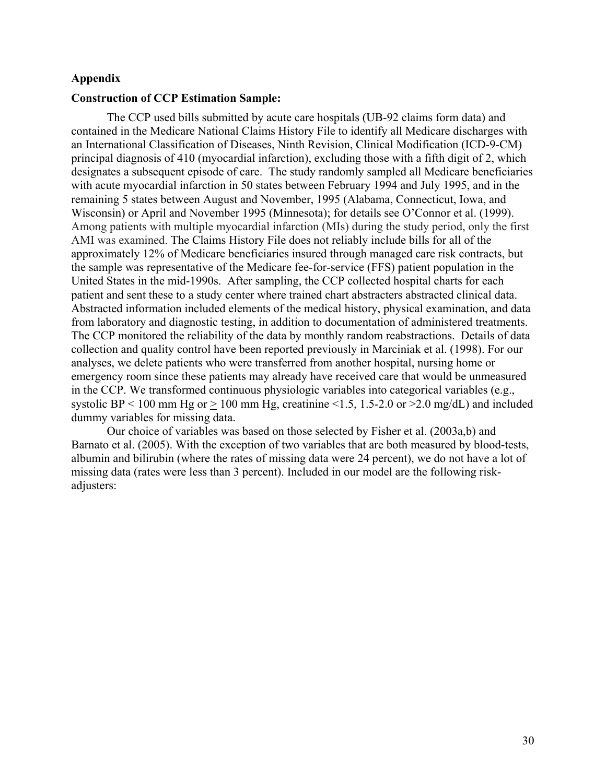## **Appendix**

## **Construction of CCP Estimation Sample:**

The CCP used bills submitted by acute care hospitals (UB-92 claims form data) and contained in the Medicare National Claims History File to identify all Medicare discharges with an International Classification of Diseases, Ninth Revision, Clinical Modification (ICD-9-CM) principal diagnosis of 410 (myocardial infarction), excluding those with a fifth digit of 2, which designates a subsequent episode of care. The study randomly sampled all Medicare beneficiaries with acute myocardial infarction in 50 states between February 1994 and July 1995, and in the remaining 5 states between August and November, 1995 (Alabama, Connecticut, Iowa, and Wisconsin) or April and November 1995 (Minnesota); for details see O'Connor et al. (1999). Among patients with multiple myocardial infarction (MIs) during the study period, only the first AMI was examined. The Claims History File does not reliably include bills for all of the approximately 12% of Medicare beneficiaries insured through managed care risk contracts, but the sample was representative of the Medicare fee-for-service (FFS) patient population in the United States in the mid-1990s. After sampling, the CCP collected hospital charts for each patient and sent these to a study center where trained chart abstracters abstracted clinical data. Abstracted information included elements of the medical history, physical examination, and data from laboratory and diagnostic testing, in addition to documentation of administered treatments. The CCP monitored the reliability of the data by monthly random reabstractions. Details of data collection and quality control have been reported previously in Marciniak et al. (1998). For our analyses, we delete patients who were transferred from another hospital, nursing home or emergency room since these patients may already have received care that would be unmeasured in the CCP. We transformed continuous physiologic variables into categorical variables (e.g., systolic BP < 100 mm Hg or > 100 mm Hg, creatinine <1.5, 1.5-2.0 or > 2.0 mg/dL) and included dummy variables for missing data.

Our choice of variables was based on those selected by Fisher et al. (2003a,b) and Barnato et al. (2005). With the exception of two variables that are both measured by blood-tests, albumin and bilirubin (where the rates of missing data were 24 percent), we do not have a lot of missing data (rates were less than 3 percent). Included in our model are the following riskadjusters: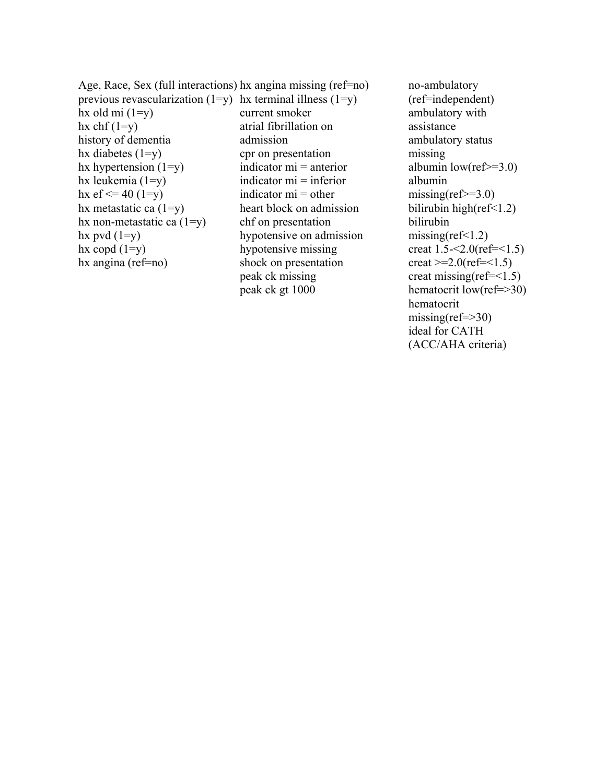Age, Race, Sex (full interactions) hx angina missing (ref=no) previous revascularization  $(1=y)$  hx terminal illness  $(1=y)$ hx old mi  $(1=y)$ hx chf  $(1=y)$ history of dementia hx diabetes  $(1=v)$ hx hypertension  $(1=y)$ hx leukemia  $(1=y)$ hx  $\text{ef} \leq 40 \text{ (1=y)}$ hx metastatic ca  $(1=y)$ hx non-metastatic ca  $(1=y)$ hx pvd  $(1=y)$ hx copd  $(1=y)$ hx angina (ref=no) current smoker atrial fibrillation on admission cpr on presentation indicator mi = anterior indicator mi = inferior indicator  $mi = other$ heart block on admission chf on presentation hypotensive on admission hypotensive missing shock on presentation peak ck missing peak ck gt 1000

no-ambulatory (ref=independent) ambulatory with assistance ambulatory status missing albumin low(ref $\geq$ =3.0) albumin missing(ref $\ge$ =3.0) bilirubin high $(ref<1.2)$ bilirubin missing( $ref<1.2$ ) creat  $1.5 - 2.0$ (ref= $1.5$ )  $\text{creat} \geq 2.0(\text{ref} = 1.5)$ creat missing(ref=<1.5) hematocrit low(ref=>30) hematocrit  $missing(ref \Rightarrow 30)$ ideal for CATH (ACC/AHA criteria)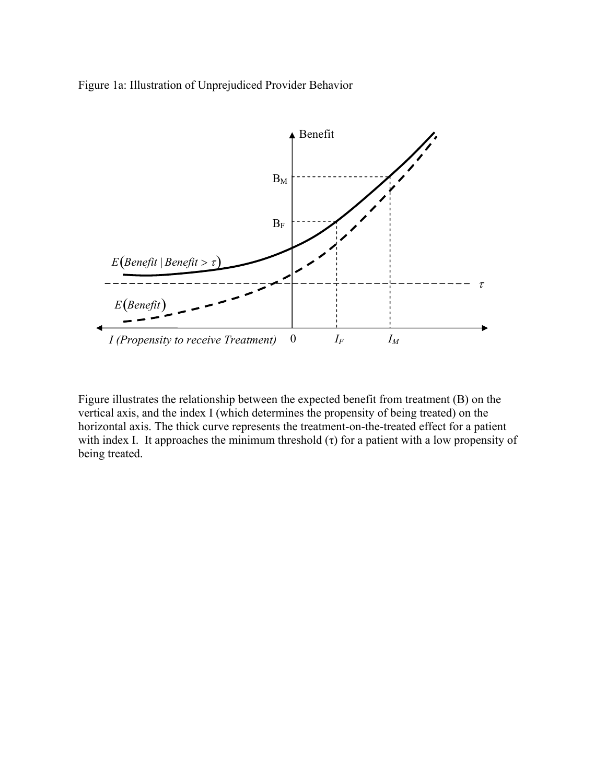Figure 1a: Illustration of Unprejudiced Provider Behavior



Figure illustrates the relationship between the expected benefit from treatment (B) on the vertical axis, and the index I (which determines the propensity of being treated) on the horizontal axis. The thick curve represents the treatment-on-the-treated effect for a patient with index I. It approaches the minimum threshold  $(\tau)$  for a patient with a low propensity of being treated.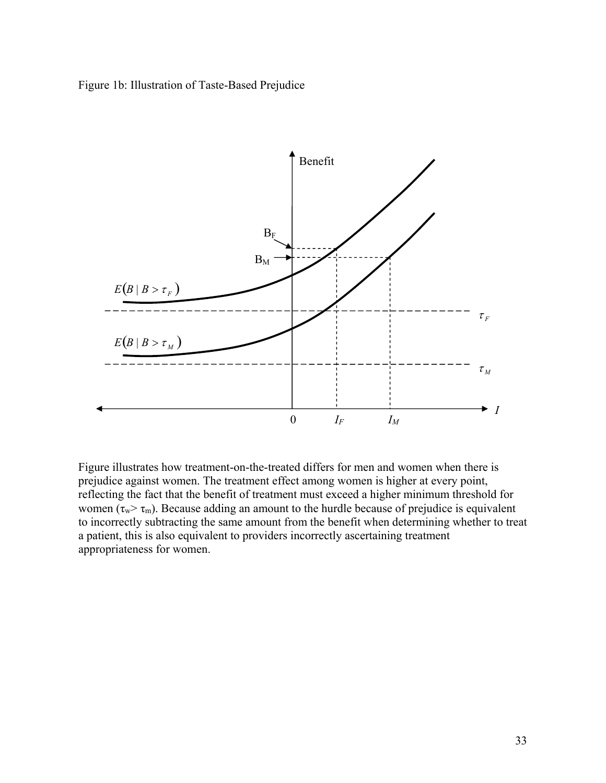Figure 1b: Illustration of Taste-Based Prejudice



Figure illustrates how treatment-on-the-treated differs for men and women when there is prejudice against women. The treatment effect among women is higher at every point, reflecting the fact that the benefit of treatment must exceed a higher minimum threshold for women ( $\tau_w > \tau_m$ ). Because adding an amount to the hurdle because of prejudice is equivalent to incorrectly subtracting the same amount from the benefit when determining whether to treat a patient, this is also equivalent to providers incorrectly ascertaining treatment appropriateness for women.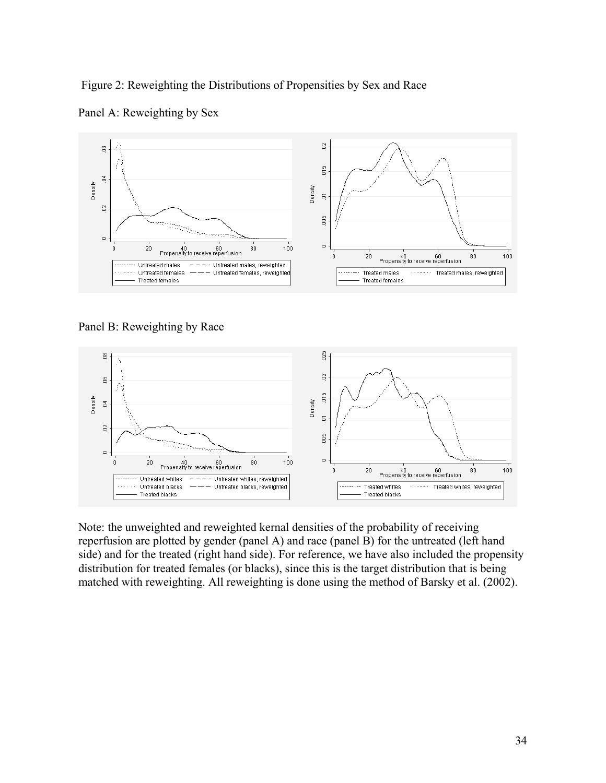Figure 2: Reweighting the Distributions of Propensities by Sex and Race



Panel A: Reweighting by Sex

Panel B: Reweighting by Race



Note: the unweighted and reweighted kernal densities of the probability of receiving reperfusion are plotted by gender (panel A) and race (panel B) for the untreated (left hand side) and for the treated (right hand side). For reference, we have also included the propensity distribution for treated females (or blacks), since this is the target distribution that is being matched with reweighting. All reweighting is done using the method of Barsky et al. (2002).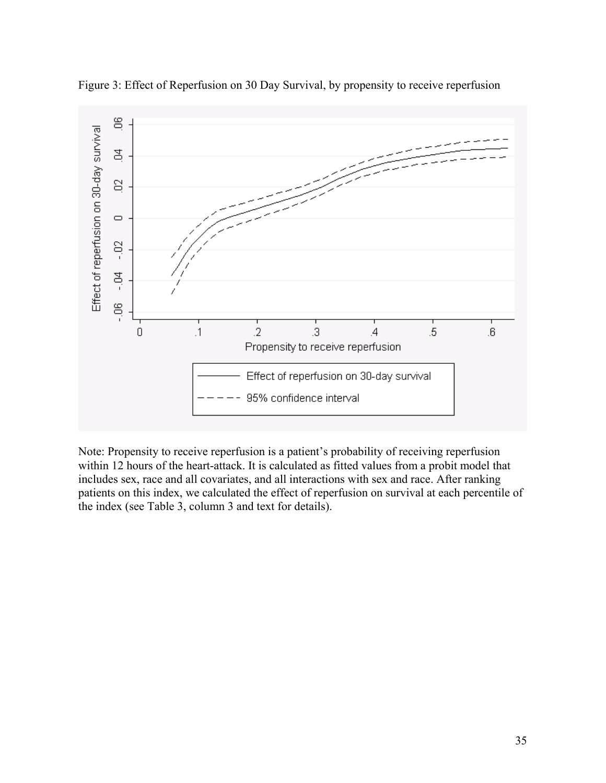

Figure 3: Effect of Reperfusion on 30 Day Survival, by propensity to receive reperfusion

Note: Propensity to receive reperfusion is a patient's probability of receiving reperfusion within 12 hours of the heart-attack. It is calculated as fitted values from a probit model that includes sex, race and all covariates, and all interactions with sex and race. After ranking patients on this index, we calculated the effect of reperfusion on survival at each percentile of the index (see Table 3, column 3 and text for details).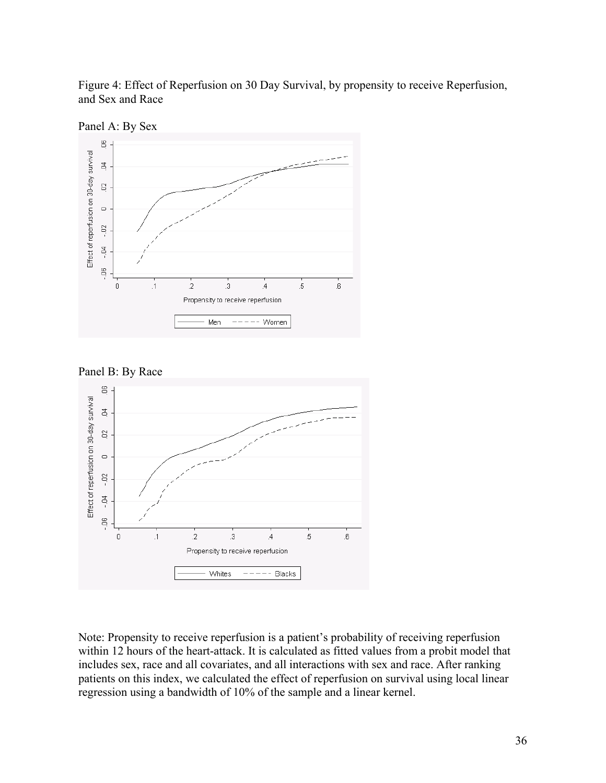Figure 4: Effect of Reperfusion on 30 Day Survival, by propensity to receive Reperfusion, and Sex and Race









Note: Propensity to receive reperfusion is a patient's probability of receiving reperfusion within 12 hours of the heart-attack. It is calculated as fitted values from a probit model that includes sex, race and all covariates, and all interactions with sex and race. After ranking patients on this index, we calculated the effect of reperfusion on survival using local linear regression using a bandwidth of 10% of the sample and a linear kernel.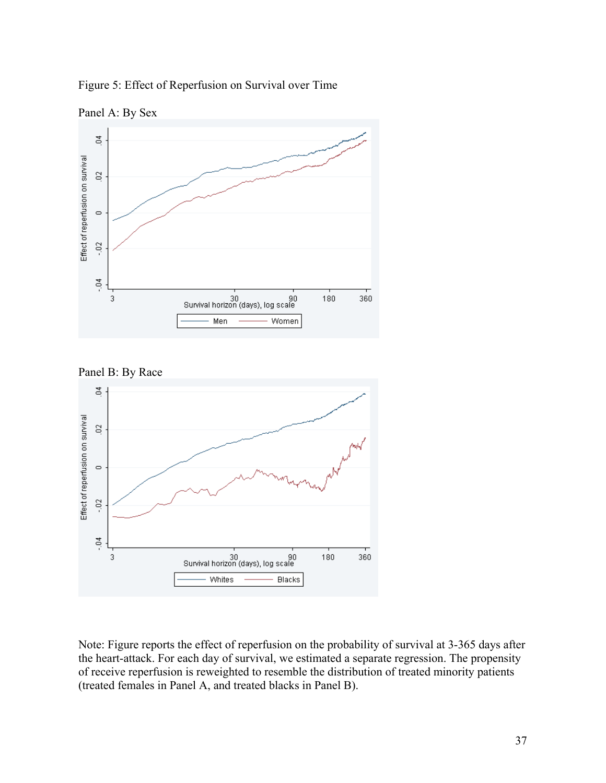Figure 5: Effect of Reperfusion on Survival over Time









Note: Figure reports the effect of reperfusion on the probability of survival at 3-365 days after the heart-attack. For each day of survival, we estimated a separate regression. The propensity of receive reperfusion is reweighted to resemble the distribution of treated minority patients (treated females in Panel A, and treated blacks in Panel B).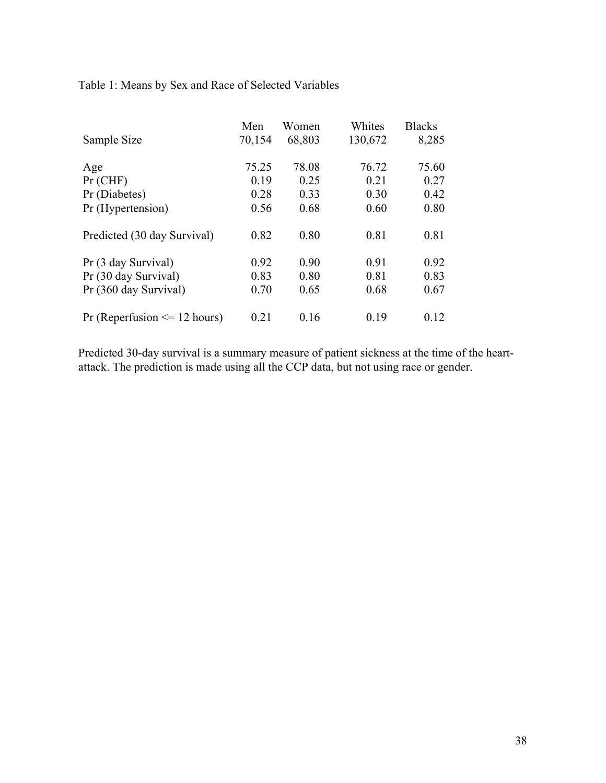Table 1: Means by Sex and Race of Selected Variables

|                                  | Men    | Women  | Whites  | <b>Blacks</b> |
|----------------------------------|--------|--------|---------|---------------|
| Sample Size                      | 70,154 | 68,803 | 130,672 | 8,285         |
|                                  |        |        |         |               |
| Age                              | 75.25  | 78.08  | 76.72   | 75.60         |
| $Pr$ (CHF)                       | 0.19   | 0.25   | 0.21    | 0.27          |
| Pr (Diabetes)                    | 0.28   | 0.33   | 0.30    | 0.42          |
| Pr (Hypertension)                | 0.56   | 0.68   | 0.60    | 0.80          |
|                                  |        |        |         |               |
| Predicted (30 day Survival)      | 0.82   | 0.80   | 0.81    | 0.81          |
|                                  |        |        |         |               |
| Pr (3 day Survival)              | 0.92   | 0.90   | 0.91    | 0.92          |
| Pr (30 day Survival)             | 0.83   | 0.80   | 0.81    | 0.83          |
| Pr (360 day Survival)            | 0.70   | 0.65   | 0.68    | 0.67          |
|                                  |        |        |         |               |
| Pr (Reperfusion $\leq$ 12 hours) | 0.21   | 0.16   | 0.19    | 0.12          |
|                                  |        |        |         |               |

Predicted 30-day survival is a summary measure of patient sickness at the time of the heartattack. The prediction is made using all the CCP data, but not using race or gender.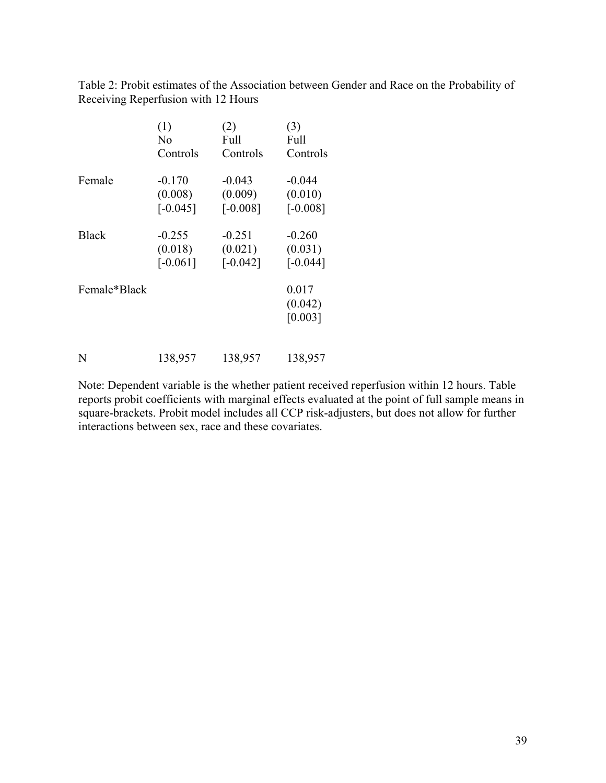Table 2: Probit estimates of the Association between Gender and Race on the Probability of Receiving Reperfusion with 12 Hours

|              | (1)        | (2)        | (3)        |
|--------------|------------|------------|------------|
|              | No         | Full       | Full       |
|              | Controls   | Controls   | Controls   |
| Female       | $-0.170$   | $-0.043$   | $-0.044$   |
|              | (0.008)    | (0.009)    | (0.010)    |
|              | $[-0.045]$ | $[-0.008]$ | $[-0.008]$ |
| <b>Black</b> | $-0.255$   | $-0.251$   | $-0.260$   |
|              | (0.018)    | (0.021)    | (0.031)    |
|              | $[-0.061]$ | $[-0.042]$ | $[-0.044]$ |
| Female*Black |            |            | 0.017      |
|              |            |            | (0.042)    |
|              |            |            | [0.003]    |
|              |            |            |            |

N 138,957 138,957 138,957

Note: Dependent variable is the whether patient received reperfusion within 12 hours. Table reports probit coefficients with marginal effects evaluated at the point of full sample means in square-brackets. Probit model includes all CCP risk-adjusters, but does not allow for further interactions between sex, race and these covariates.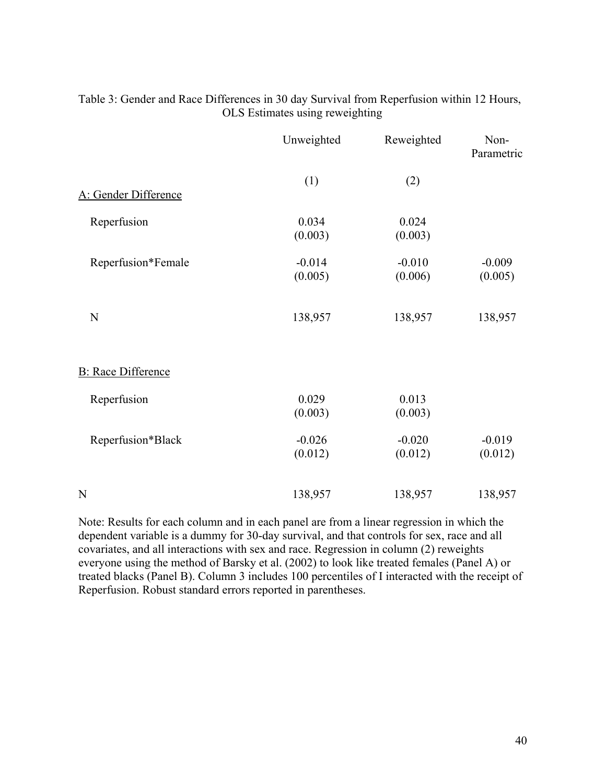|                           | Unweighted          | Reweighted          | Non-<br>Parametric  |
|---------------------------|---------------------|---------------------|---------------------|
| A: Gender Difference      | (1)                 | (2)                 |                     |
| Reperfusion               | 0.034<br>(0.003)    | 0.024<br>(0.003)    |                     |
| Reperfusion*Female        | $-0.014$<br>(0.005) | $-0.010$<br>(0.006) | $-0.009$<br>(0.005) |
| $\mathbf N$               | 138,957             | 138,957             | 138,957             |
| <b>B:</b> Race Difference |                     |                     |                     |
| Reperfusion               | 0.029<br>(0.003)    | 0.013<br>(0.003)    |                     |
| Reperfusion*Black         | $-0.026$<br>(0.012) | $-0.020$<br>(0.012) | $-0.019$<br>(0.012) |
| N                         | 138,957             | 138,957             | 138,957             |

Table 3: Gender and Race Differences in 30 day Survival from Reperfusion within 12 Hours, OLS Estimates using reweighting

Note: Results for each column and in each panel are from a linear regression in which the dependent variable is a dummy for 30-day survival, and that controls for sex, race and all covariates, and all interactions with sex and race. Regression in column (2) reweights everyone using the method of Barsky et al. (2002) to look like treated females (Panel A) or treated blacks (Panel B). Column 3 includes 100 percentiles of I interacted with the receipt of Reperfusion. Robust standard errors reported in parentheses.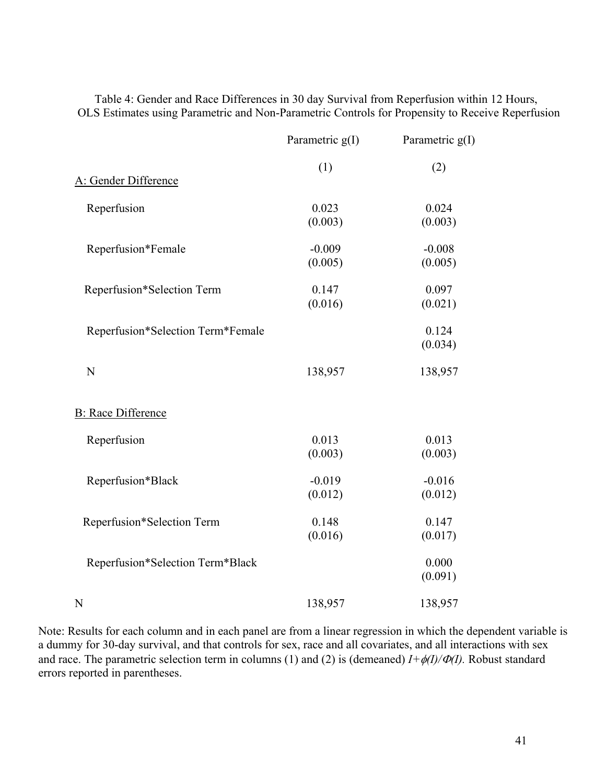Table 4: Gender and Race Differences in 30 day Survival from Reperfusion within 12 Hours, OLS Estimates using Parametric and Non-Parametric Controls for Propensity to Receive Reperfusion

|                                   | Parametric g(I) | Parametric $g(I)$ |
|-----------------------------------|-----------------|-------------------|
|                                   | (1)             | (2)               |
| A: Gender Difference              |                 |                   |
| Reperfusion                       | 0.023           | 0.024             |
|                                   | (0.003)         | (0.003)           |
| Reperfusion*Female                | $-0.009$        | $-0.008$          |
|                                   | (0.005)         | (0.005)           |
| Reperfusion*Selection Term        | 0.147           | 0.097             |
|                                   | (0.016)         | (0.021)           |
| Reperfusion*Selection Term*Female |                 | 0.124             |
|                                   |                 | (0.034)           |
| N                                 | 138,957         | 138,957           |
| <b>B:</b> Race Difference         |                 |                   |
| Reperfusion                       | 0.013           | 0.013             |
|                                   | (0.003)         | (0.003)           |
| Reperfusion*Black                 | $-0.019$        | $-0.016$          |
|                                   | (0.012)         | (0.012)           |
| Reperfusion*Selection Term        | 0.148           | 0.147             |
|                                   | (0.016)         | (0.017)           |
| Reperfusion*Selection Term*Black  |                 | 0.000             |
|                                   |                 | (0.091)           |
| N                                 | 138,957         | 138,957           |

Note: Results for each column and in each panel are from a linear regression in which the dependent variable is a dummy for 30-day survival, and that controls for sex, race and all covariates, and all interactions with sex and race. The parametric selection term in columns (1) and (2) is (demeaned)  $I + \phi(I)/\phi(I)$ . Robust standard errors reported in parentheses.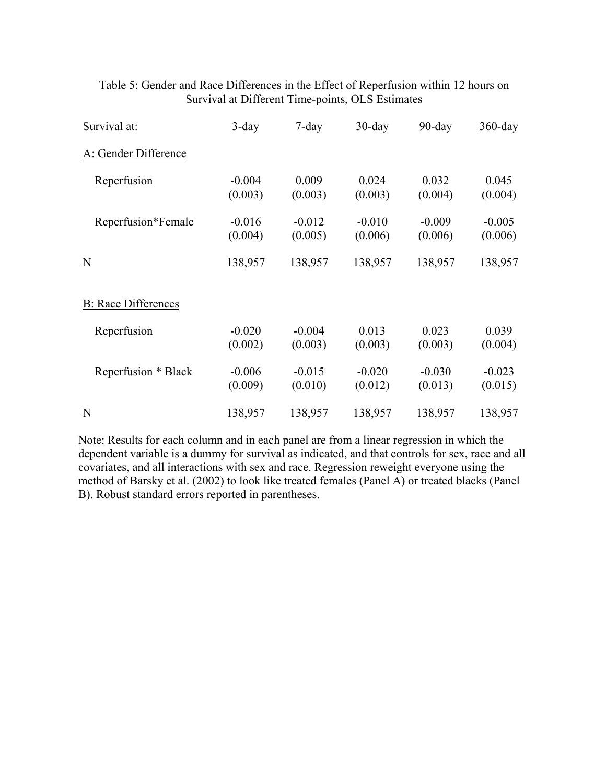| Survival at:               | $3$ -day            | $7$ -day            | $30$ -day           | $90$ -day           | $360$ -day          |
|----------------------------|---------------------|---------------------|---------------------|---------------------|---------------------|
| A: Gender Difference       |                     |                     |                     |                     |                     |
| Reperfusion                | $-0.004$<br>(0.003) | 0.009<br>(0.003)    | 0.024<br>(0.003)    | 0.032<br>(0.004)    | 0.045<br>(0.004)    |
| Reperfusion*Female         | $-0.016$<br>(0.004) | $-0.012$<br>(0.005) | $-0.010$<br>(0.006) | $-0.009$<br>(0.006) | $-0.005$<br>(0.006) |
| N                          | 138,957             | 138,957             | 138,957             | 138,957             | 138,957             |
| <b>B:</b> Race Differences |                     |                     |                     |                     |                     |
| Reperfusion                | $-0.020$<br>(0.002) | $-0.004$<br>(0.003) | 0.013<br>(0.003)    | 0.023<br>(0.003)    | 0.039<br>(0.004)    |
| Reperfusion * Black        | $-0.006$<br>(0.009) | $-0.015$<br>(0.010) | $-0.020$<br>(0.012) | $-0.030$<br>(0.013) | $-0.023$<br>(0.015) |
| N                          | 138,957             | 138,957             | 138,957             | 138,957             | 138,957             |

## Table 5: Gender and Race Differences in the Effect of Reperfusion within 12 hours on Survival at Different Time-points, OLS Estimates

Note: Results for each column and in each panel are from a linear regression in which the dependent variable is a dummy for survival as indicated, and that controls for sex, race and all covariates, and all interactions with sex and race. Regression reweight everyone using the method of Barsky et al. (2002) to look like treated females (Panel A) or treated blacks (Panel B). Robust standard errors reported in parentheses.